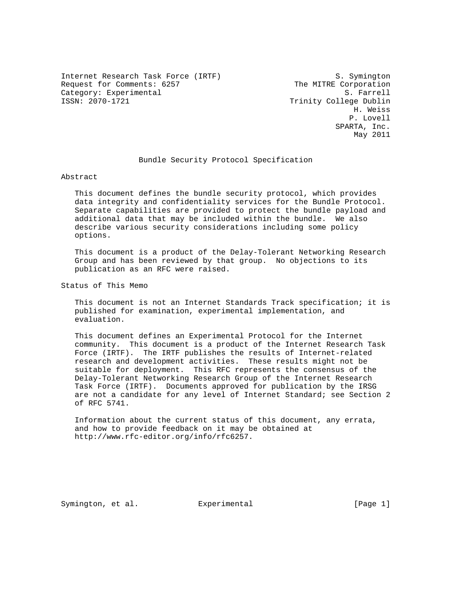Internet Research Task Force (IRTF) S. Symington Request for Comments: 6257 The MITRE Corporation Category: Experimental and S. Farrell S. Farrell<br>ISSN: 2070-1721 CSSN: 2009-1721

Trinity College Dublin H. Weiss P. Lovell SPARTA, Inc. May 2011

### Bundle Security Protocol Specification

Abstract

 This document defines the bundle security protocol, which provides data integrity and confidentiality services for the Bundle Protocol. Separate capabilities are provided to protect the bundle payload and additional data that may be included within the bundle. We also describe various security considerations including some policy options.

 This document is a product of the Delay-Tolerant Networking Research Group and has been reviewed by that group. No objections to its publication as an RFC were raised.

Status of This Memo

 This document is not an Internet Standards Track specification; it is published for examination, experimental implementation, and evaluation.

 This document defines an Experimental Protocol for the Internet community. This document is a product of the Internet Research Task Force (IRTF). The IRTF publishes the results of Internet-related research and development activities. These results might not be suitable for deployment. This RFC represents the consensus of the Delay-Tolerant Networking Research Group of the Internet Research Task Force (IRTF). Documents approved for publication by the IRSG are not a candidate for any level of Internet Standard; see Section 2 of RFC 5741.

 Information about the current status of this document, any errata, and how to provide feedback on it may be obtained at http://www.rfc-editor.org/info/rfc6257.

Symington, et al. Experimental [Page 1]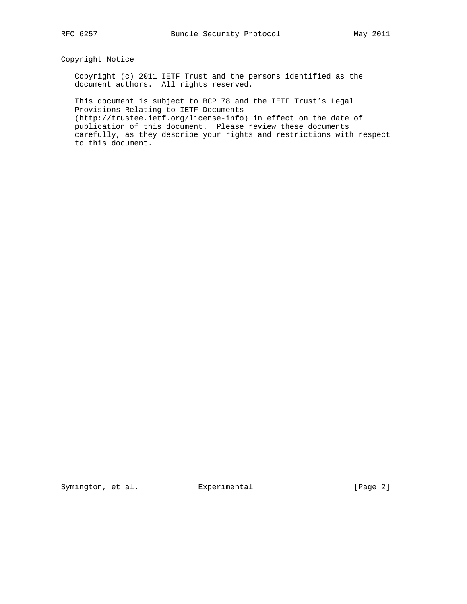## Copyright Notice

 Copyright (c) 2011 IETF Trust and the persons identified as the document authors. All rights reserved.

 This document is subject to BCP 78 and the IETF Trust's Legal Provisions Relating to IETF Documents (http://trustee.ietf.org/license-info) in effect on the date of publication of this document. Please review these documents carefully, as they describe your rights and restrictions with respect to this document.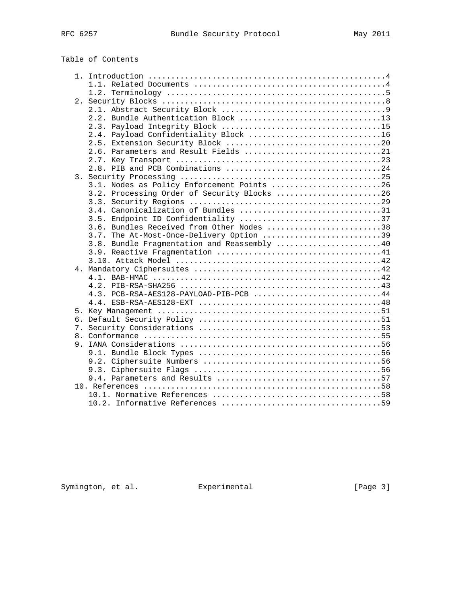| Table of Contents                           |
|---------------------------------------------|
|                                             |
|                                             |
|                                             |
|                                             |
|                                             |
| 2.2. Bundle Authentication Block 13         |
|                                             |
| 2.4. Payload Confidentiality Block 16       |
|                                             |
| 2.6. Parameters and Result Fields 21        |
|                                             |
|                                             |
|                                             |
| 3.1. Nodes as Policy Enforcement Points 26  |
| 3.2. Processing Order of Security Blocks 26 |
|                                             |
| 3.4. Canonicalization of Bundles 31         |
| 3.5. Endpoint ID Confidentiality 37         |
| 3.6. Bundles Received from Other Nodes 38   |
| 3.7. The At-Most-Once-Delivery Option 39    |
| 3.8. Bundle Fragmentation and Reassembly 40 |
|                                             |
|                                             |
|                                             |
|                                             |
|                                             |
| 4.3. PCB-RSA-AES128-PAYLOAD-PIB-PCB 44      |
|                                             |
|                                             |
|                                             |
|                                             |
|                                             |
|                                             |
|                                             |
|                                             |
|                                             |
|                                             |

Symington, et al. Experimental [Page 3]

 10. References ....................................................58 10.1. Normative References .....................................58 10.2. Informative References ...................................59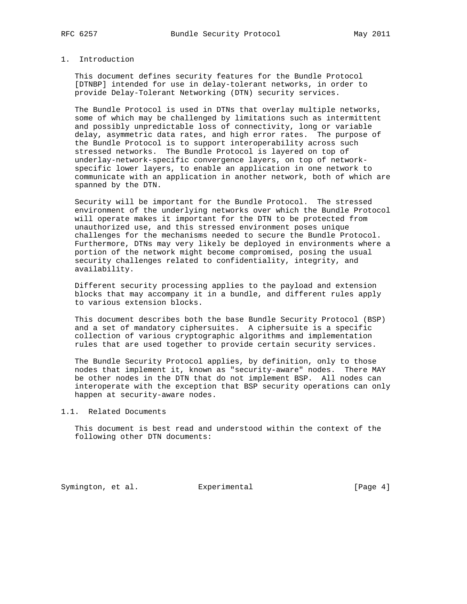## 1. Introduction

 This document defines security features for the Bundle Protocol [DTNBP] intended for use in delay-tolerant networks, in order to provide Delay-Tolerant Networking (DTN) security services.

 The Bundle Protocol is used in DTNs that overlay multiple networks, some of which may be challenged by limitations such as intermittent and possibly unpredictable loss of connectivity, long or variable delay, asymmetric data rates, and high error rates. The purpose of the Bundle Protocol is to support interoperability across such stressed networks. The Bundle Protocol is layered on top of underlay-network-specific convergence layers, on top of network specific lower layers, to enable an application in one network to communicate with an application in another network, both of which are spanned by the DTN.

 Security will be important for the Bundle Protocol. The stressed environment of the underlying networks over which the Bundle Protocol will operate makes it important for the DTN to be protected from unauthorized use, and this stressed environment poses unique challenges for the mechanisms needed to secure the Bundle Protocol. Furthermore, DTNs may very likely be deployed in environments where a portion of the network might become compromised, posing the usual security challenges related to confidentiality, integrity, and availability.

 Different security processing applies to the payload and extension blocks that may accompany it in a bundle, and different rules apply to various extension blocks.

 This document describes both the base Bundle Security Protocol (BSP) and a set of mandatory ciphersuites. A ciphersuite is a specific collection of various cryptographic algorithms and implementation rules that are used together to provide certain security services.

 The Bundle Security Protocol applies, by definition, only to those nodes that implement it, known as "security-aware" nodes. There MAY be other nodes in the DTN that do not implement BSP. All nodes can interoperate with the exception that BSP security operations can only happen at security-aware nodes.

1.1. Related Documents

 This document is best read and understood within the context of the following other DTN documents:

Symington, et al. Experimental [Page 4]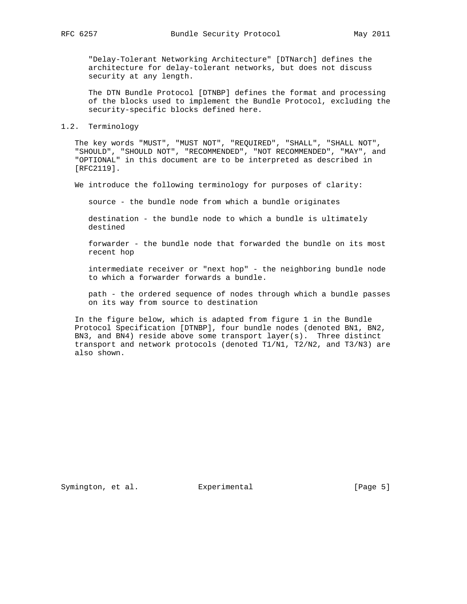"Delay-Tolerant Networking Architecture" [DTNarch] defines the architecture for delay-tolerant networks, but does not discuss security at any length.

 The DTN Bundle Protocol [DTNBP] defines the format and processing of the blocks used to implement the Bundle Protocol, excluding the security-specific blocks defined here.

### 1.2. Terminology

 The key words "MUST", "MUST NOT", "REQUIRED", "SHALL", "SHALL NOT", "SHOULD", "SHOULD NOT", "RECOMMENDED", "NOT RECOMMENDED", "MAY", and "OPTIONAL" in this document are to be interpreted as described in [RFC2119].

We introduce the following terminology for purposes of clarity:

source - the bundle node from which a bundle originates

 destination - the bundle node to which a bundle is ultimately destined

 forwarder - the bundle node that forwarded the bundle on its most recent hop

 intermediate receiver or "next hop" - the neighboring bundle node to which a forwarder forwards a bundle.

 path - the ordered sequence of nodes through which a bundle passes on its way from source to destination

 In the figure below, which is adapted from figure 1 in the Bundle Protocol Specification [DTNBP], four bundle nodes (denoted BN1, BN2, BN3, and BN4) reside above some transport layer(s). Three distinct transport and network protocols (denoted T1/N1, T2/N2, and T3/N3) are also shown.

Symington, et al. Experimental [Page 5]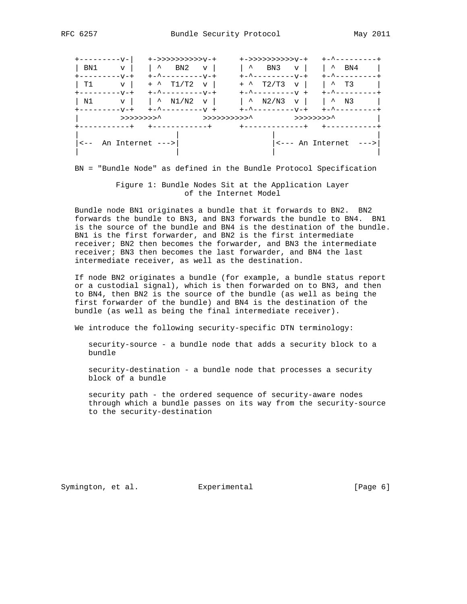| <b>+------------</b>                            | +->>>>>>>>>>>>v-+                                                                       | +->>>>>>>>>>>>v-+                        | +-^---------+                                    |
|-------------------------------------------------|-----------------------------------------------------------------------------------------|------------------------------------------|--------------------------------------------------|
| BN1<br>$\mathbf v$<br>$+ - - - - - - - - - +$   | $\vert \wedge \quad \text{BN2} \quad \text{v} \vert$<br>$+ -$ ^ - - - - - - - - - V - + | $\sim$<br>BN 3<br>$\mathbf{v}$           | $\sim$ BN4<br>+-^---------                       |
| T1<br>$\mathbf{v}$  <br>$+ - - - - - - - - - +$ | $+$ ^ T1/T2 $\rm{v}$                                                                    | $+$ ^ T2/T3 v  <br>$+        +$          | $\sim$ T3<br>+-^---------+                       |
| N1<br>$+ - - - - - - - - - +$                   | $\rm v$   $\sim$ N1/N2<br>$\mathbf{v}$                                                  | $\sim$ N2/N3<br>+-^---------v-+          | $V$   $\sim$ N3<br>+-^---------+                 |
|                                                 | >>>>>>>>>'<br>>>>>>>>>>>>> <sup>^</sup><br>-----------+ +------------+                  | >>>>>>>>> <sup>^</sup><br>+------------+ |                                                  |
| $\leftarrow -$ An Internet $\leftarrow$ -       |                                                                                         |                                          | $+ - - - - - - - - - -$<br><--- An Internet ---> |

BN = "Bundle Node" as defined in the Bundle Protocol Specification

### Figure 1: Bundle Nodes Sit at the Application Layer of the Internet Model

 Bundle node BN1 originates a bundle that it forwards to BN2. BN2 forwards the bundle to BN3, and BN3 forwards the bundle to BN4. BN1 is the source of the bundle and BN4 is the destination of the bundle. BN1 is the first forwarder, and BN2 is the first intermediate receiver; BN2 then becomes the forwarder, and BN3 the intermediate receiver; BN3 then becomes the last forwarder, and BN4 the last intermediate receiver, as well as the destination.

 If node BN2 originates a bundle (for example, a bundle status report or a custodial signal), which is then forwarded on to BN3, and then to BN4, then BN2 is the source of the bundle (as well as being the first forwarder of the bundle) and BN4 is the destination of the bundle (as well as being the final intermediate receiver).

We introduce the following security-specific DTN terminology:

 security-source - a bundle node that adds a security block to a bundle

 security-destination - a bundle node that processes a security block of a bundle

 security path - the ordered sequence of security-aware nodes through which a bundle passes on its way from the security-source to the security-destination

Symington, et al. Experimental [Page 6]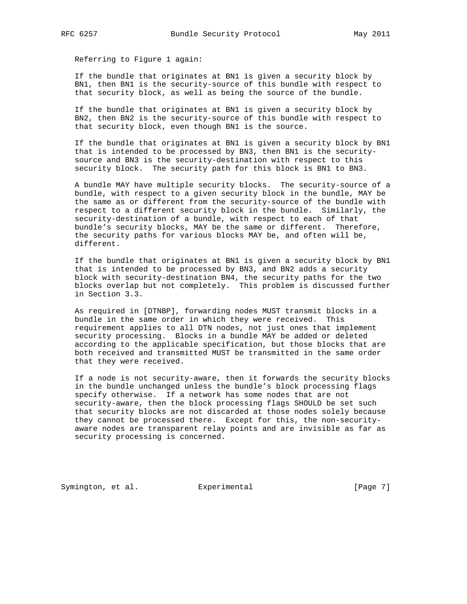Referring to Figure 1 again:

 If the bundle that originates at BN1 is given a security block by BN1, then BN1 is the security-source of this bundle with respect to that security block, as well as being the source of the bundle.

 If the bundle that originates at BN1 is given a security block by BN2, then BN2 is the security-source of this bundle with respect to that security block, even though BN1 is the source.

 If the bundle that originates at BN1 is given a security block by BN1 that is intended to be processed by BN3, then BN1 is the security source and BN3 is the security-destination with respect to this security block. The security path for this block is BN1 to BN3.

 A bundle MAY have multiple security blocks. The security-source of a bundle, with respect to a given security block in the bundle, MAY be the same as or different from the security-source of the bundle with respect to a different security block in the bundle. Similarly, the security-destination of a bundle, with respect to each of that bundle's security blocks, MAY be the same or different. Therefore, the security paths for various blocks MAY be, and often will be, different.

 If the bundle that originates at BN1 is given a security block by BN1 that is intended to be processed by BN3, and BN2 adds a security block with security-destination BN4, the security paths for the two blocks overlap but not completely. This problem is discussed further in Section 3.3.

 As required in [DTNBP], forwarding nodes MUST transmit blocks in a bundle in the same order in which they were received. This requirement applies to all DTN nodes, not just ones that implement security processing. Blocks in a bundle MAY be added or deleted according to the applicable specification, but those blocks that are both received and transmitted MUST be transmitted in the same order that they were received.

 If a node is not security-aware, then it forwards the security blocks in the bundle unchanged unless the bundle's block processing flags specify otherwise. If a network has some nodes that are not security-aware, then the block processing flags SHOULD be set such that security blocks are not discarded at those nodes solely because they cannot be processed there. Except for this, the non-security aware nodes are transparent relay points and are invisible as far as security processing is concerned.

Symington, et al. Experimental Figure 2016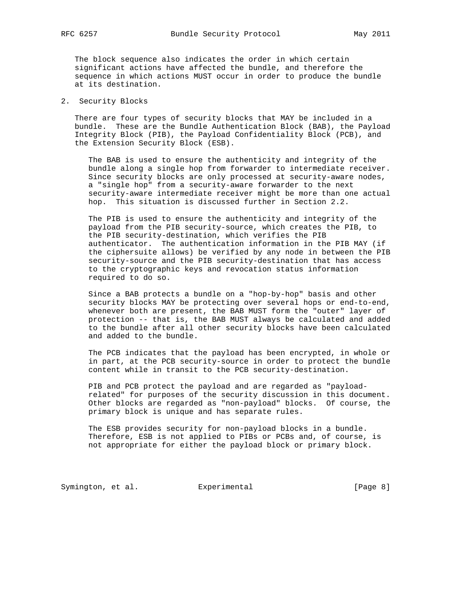The block sequence also indicates the order in which certain significant actions have affected the bundle, and therefore the sequence in which actions MUST occur in order to produce the bundle at its destination.

2. Security Blocks

 There are four types of security blocks that MAY be included in a bundle. These are the Bundle Authentication Block (BAB), the Payload Integrity Block (PIB), the Payload Confidentiality Block (PCB), and the Extension Security Block (ESB).

 The BAB is used to ensure the authenticity and integrity of the bundle along a single hop from forwarder to intermediate receiver. Since security blocks are only processed at security-aware nodes, a "single hop" from a security-aware forwarder to the next security-aware intermediate receiver might be more than one actual hop. This situation is discussed further in Section 2.2.

 The PIB is used to ensure the authenticity and integrity of the payload from the PIB security-source, which creates the PIB, to the PIB security-destination, which verifies the PIB authenticator. The authentication information in the PIB MAY (if the ciphersuite allows) be verified by any node in between the PIB security-source and the PIB security-destination that has access to the cryptographic keys and revocation status information required to do so.

 Since a BAB protects a bundle on a "hop-by-hop" basis and other security blocks MAY be protecting over several hops or end-to-end, whenever both are present, the BAB MUST form the "outer" layer of protection -- that is, the BAB MUST always be calculated and added to the bundle after all other security blocks have been calculated and added to the bundle.

 The PCB indicates that the payload has been encrypted, in whole or in part, at the PCB security-source in order to protect the bundle content while in transit to the PCB security-destination.

 PIB and PCB protect the payload and are regarded as "payload related" for purposes of the security discussion in this document. Other blocks are regarded as "non-payload" blocks. Of course, the primary block is unique and has separate rules.

 The ESB provides security for non-payload blocks in a bundle. Therefore, ESB is not applied to PIBs or PCBs and, of course, is not appropriate for either the payload block or primary block.

Symington, et al. Experimental Formula (Page 8)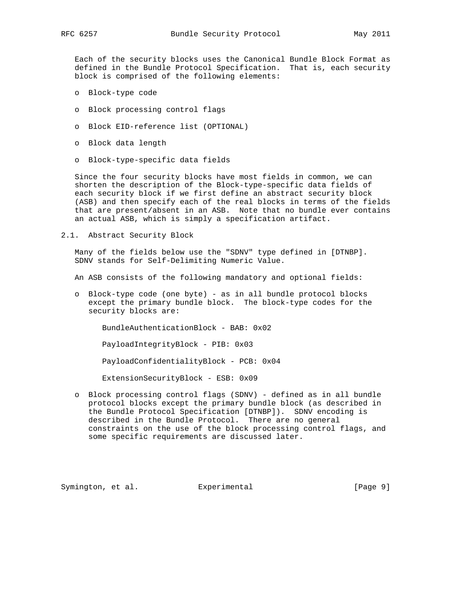Each of the security blocks uses the Canonical Bundle Block Format as defined in the Bundle Protocol Specification. That is, each security block is comprised of the following elements:

- o Block-type code
- o Block processing control flags
- o Block EID-reference list (OPTIONAL)
- o Block data length
- o Block-type-specific data fields

 Since the four security blocks have most fields in common, we can shorten the description of the Block-type-specific data fields of each security block if we first define an abstract security block (ASB) and then specify each of the real blocks in terms of the fields that are present/absent in an ASB. Note that no bundle ever contains an actual ASB, which is simply a specification artifact.

2.1. Abstract Security Block

 Many of the fields below use the "SDNV" type defined in [DTNBP]. SDNV stands for Self-Delimiting Numeric Value.

An ASB consists of the following mandatory and optional fields:

 o Block-type code (one byte) - as in all bundle protocol blocks except the primary bundle block. The block-type codes for the security blocks are:

BundleAuthenticationBlock - BAB: 0x02

PayloadIntegrityBlock - PIB: 0x03

PayloadConfidentialityBlock - PCB: 0x04

ExtensionSecurityBlock - ESB: 0x09

 o Block processing control flags (SDNV) - defined as in all bundle protocol blocks except the primary bundle block (as described in the Bundle Protocol Specification [DTNBP]). SDNV encoding is described in the Bundle Protocol. There are no general constraints on the use of the block processing control flags, and some specific requirements are discussed later.

Symington, et al. Experimental [Page 9]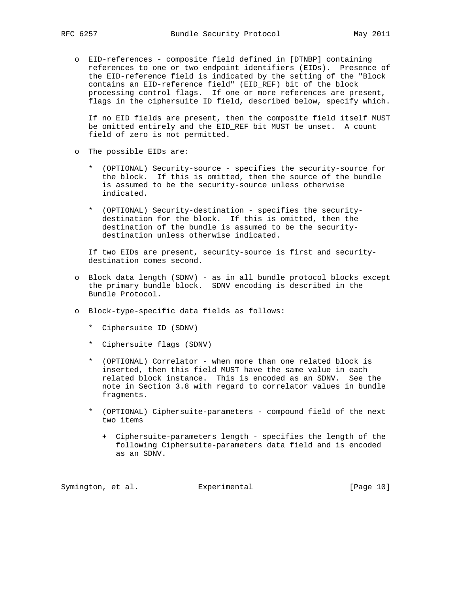o EID-references - composite field defined in [DTNBP] containing references to one or two endpoint identifiers (EIDs). Presence of the EID-reference field is indicated by the setting of the "Block contains an EID-reference field" (EID\_REF) bit of the block processing control flags. If one or more references are present, flags in the ciphersuite ID field, described below, specify which.

 If no EID fields are present, then the composite field itself MUST be omitted entirely and the EID\_REF bit MUST be unset. A count field of zero is not permitted.

- o The possible EIDs are:
	- \* (OPTIONAL) Security-source specifies the security-source for the block. If this is omitted, then the source of the bundle is assumed to be the security-source unless otherwise indicated.
	- \* (OPTIONAL) Security-destination specifies the security destination for the block. If this is omitted, then the destination of the bundle is assumed to be the security destination unless otherwise indicated.

 If two EIDs are present, security-source is first and security destination comes second.

- o Block data length (SDNV) as in all bundle protocol blocks except the primary bundle block. SDNV encoding is described in the Bundle Protocol.
- o Block-type-specific data fields as follows:
	- \* Ciphersuite ID (SDNV)
	- \* Ciphersuite flags (SDNV)
	- \* (OPTIONAL) Correlator when more than one related block is inserted, then this field MUST have the same value in each related block instance. This is encoded as an SDNV. See the note in Section 3.8 with regard to correlator values in bundle fragments.
	- \* (OPTIONAL) Ciphersuite-parameters compound field of the next two items
		- + Ciphersuite-parameters length specifies the length of the following Ciphersuite-parameters data field and is encoded as an SDNV.

Symington, et al. Experimental [Page 10]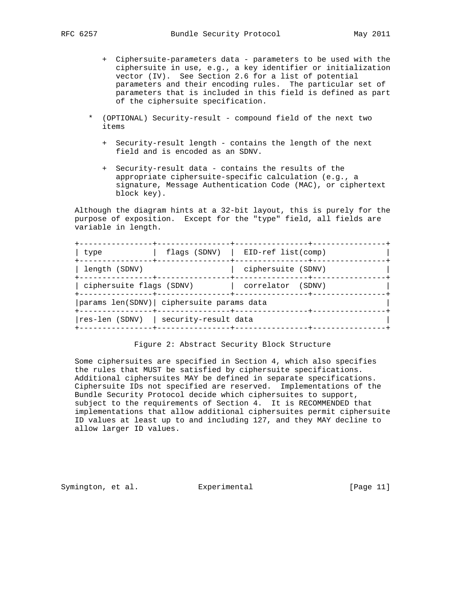- + Ciphersuite-parameters data parameters to be used with the ciphersuite in use, e.g., a key identifier or initialization vector (IV). See Section 2.6 for a list of potential parameters and their encoding rules. The particular set of parameters that is included in this field is defined as part of the ciphersuite specification.
- \* (OPTIONAL) Security-result compound field of the next two items
	- + Security-result length contains the length of the next field and is encoded as an SDNV.
	- + Security-result data contains the results of the appropriate ciphersuite-specific calculation (e.g., a signature, Message Authentication Code (MAC), or ciphertext block key).

 Although the diagram hints at a 32-bit layout, this is purely for the purpose of exposition. Except for the "type" field, all fields are variable in length.

| type                                              | flags $(SDNV)$   EID-ref list(comp) |  |
|---------------------------------------------------|-------------------------------------|--|
| length (SDNV)                                     | ciphersuite (SDNV)                  |  |
| ciphersuite flags (SDNV)<br>--------------+------ | correlator (SDNV)                   |  |
| params len(SDNV) ciphersuite params data          |                                     |  |
| res-len (SDNV)   security-result data             |                                     |  |

### Figure 2: Abstract Security Block Structure

 Some ciphersuites are specified in Section 4, which also specifies the rules that MUST be satisfied by ciphersuite specifications. Additional ciphersuites MAY be defined in separate specifications. Ciphersuite IDs not specified are reserved. Implementations of the Bundle Security Protocol decide which ciphersuites to support, subject to the requirements of Section 4. It is RECOMMENDED that implementations that allow additional ciphersuites permit ciphersuite ID values at least up to and including 127, and they MAY decline to allow larger ID values.

Symington, et al. Experimental [Page 11]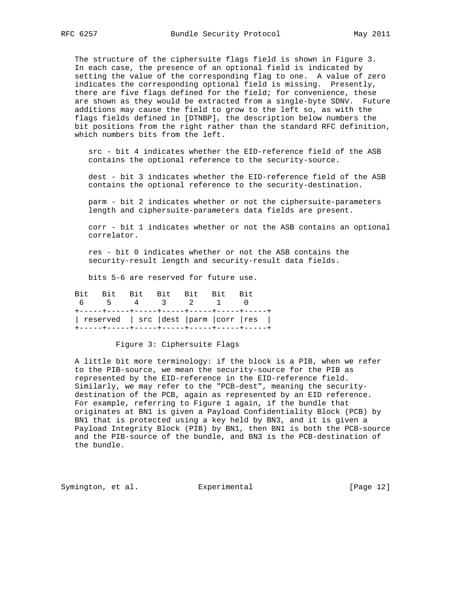The structure of the ciphersuite flags field is shown in Figure 3. In each case, the presence of an optional field is indicated by setting the value of the corresponding flag to one. A value of zero indicates the corresponding optional field is missing. Presently, there are five flags defined for the field; for convenience, these are shown as they would be extracted from a single-byte SDNV. Future additions may cause the field to grow to the left so, as with the flags fields defined in [DTNBP], the description below numbers the bit positions from the right rather than the standard RFC definition, which numbers bits from the left.

 src - bit 4 indicates whether the EID-reference field of the ASB contains the optional reference to the security-source.

 dest - bit 3 indicates whether the EID-reference field of the ASB contains the optional reference to the security-destination.

 parm - bit 2 indicates whether or not the ciphersuite-parameters length and ciphersuite-parameters data fields are present.

 corr - bit 1 indicates whether or not the ASB contains an optional correlator.

 res - bit 0 indicates whether or not the ASB contains the security-result length and security-result data fields.

bits 5-6 are reserved for future use.

|  | Bit Bit Bit Bit Bit Bit                   |         |  |  |
|--|-------------------------------------------|---------|--|--|
|  |                                           | 4 3 2 1 |  |  |
|  |                                           |         |  |  |
|  | reserved   src   dest   parm   corr   res |         |  |  |
|  |                                           |         |  |  |

### Figure 3: Ciphersuite Flags

 A little bit more terminology: if the block is a PIB, when we refer to the PIB-source, we mean the security-source for the PIB as represented by the EID-reference in the EID-reference field. Similarly, we may refer to the "PCB-dest", meaning the security destination of the PCB, again as represented by an EID reference. For example, referring to Figure 1 again, if the bundle that originates at BN1 is given a Payload Confidentiality Block (PCB) by BN1 that is protected using a key held by BN3, and it is given a Payload Integrity Block (PIB) by BN1, then BN1 is both the PCB-source and the PIB-source of the bundle, and BN3 is the PCB-destination of the bundle.

Symington, et al. Experimental [Page 12]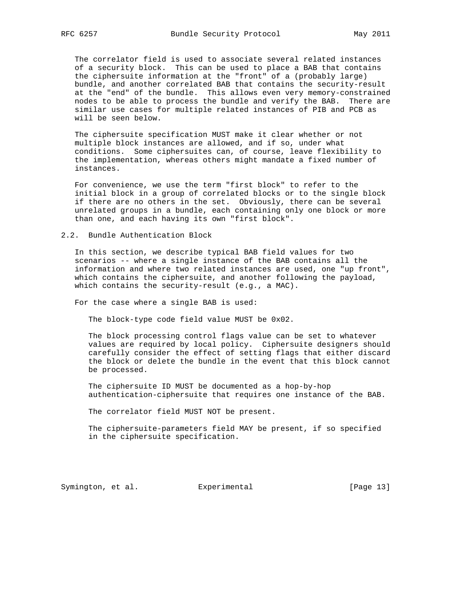The correlator field is used to associate several related instances of a security block. This can be used to place a BAB that contains the ciphersuite information at the "front" of a (probably large) bundle, and another correlated BAB that contains the security-result at the "end" of the bundle. This allows even very memory-constrained nodes to be able to process the bundle and verify the BAB. There are similar use cases for multiple related instances of PIB and PCB as will be seen below.

 The ciphersuite specification MUST make it clear whether or not multiple block instances are allowed, and if so, under what conditions. Some ciphersuites can, of course, leave flexibility to the implementation, whereas others might mandate a fixed number of instances.

 For convenience, we use the term "first block" to refer to the initial block in a group of correlated blocks or to the single block if there are no others in the set. Obviously, there can be several unrelated groups in a bundle, each containing only one block or more than one, and each having its own "first block".

2.2. Bundle Authentication Block

 In this section, we describe typical BAB field values for two scenarios -- where a single instance of the BAB contains all the information and where two related instances are used, one "up front", which contains the ciphersuite, and another following the payload, which contains the security-result (e.g., a MAC).

For the case where a single BAB is used:

The block-type code field value MUST be 0x02.

 The block processing control flags value can be set to whatever values are required by local policy. Ciphersuite designers should carefully consider the effect of setting flags that either discard the block or delete the bundle in the event that this block cannot be processed.

 The ciphersuite ID MUST be documented as a hop-by-hop authentication-ciphersuite that requires one instance of the BAB.

The correlator field MUST NOT be present.

 The ciphersuite-parameters field MAY be present, if so specified in the ciphersuite specification.

Symington, et al. Experimental [Page 13]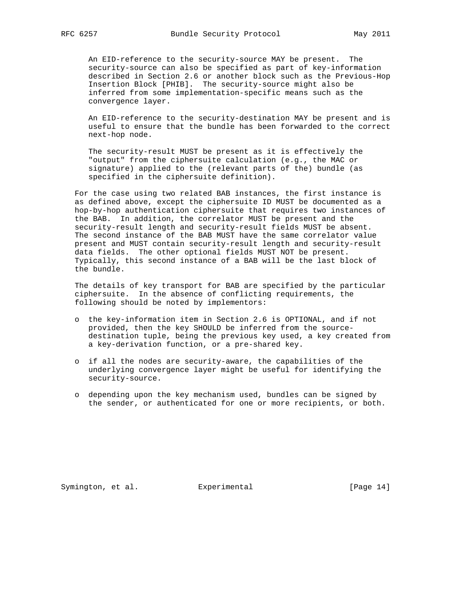An EID-reference to the security-source MAY be present. The security-source can also be specified as part of key-information described in Section 2.6 or another block such as the Previous-Hop Insertion Block [PHIB]. The security-source might also be inferred from some implementation-specific means such as the convergence layer.

 An EID-reference to the security-destination MAY be present and is useful to ensure that the bundle has been forwarded to the correct next-hop node.

 The security-result MUST be present as it is effectively the "output" from the ciphersuite calculation (e.g., the MAC or signature) applied to the (relevant parts of the) bundle (as specified in the ciphersuite definition).

 For the case using two related BAB instances, the first instance is as defined above, except the ciphersuite ID MUST be documented as a hop-by-hop authentication ciphersuite that requires two instances of the BAB. In addition, the correlator MUST be present and the security-result length and security-result fields MUST be absent. The second instance of the BAB MUST have the same correlator value present and MUST contain security-result length and security-result data fields. The other optional fields MUST NOT be present. Typically, this second instance of a BAB will be the last block of the bundle.

 The details of key transport for BAB are specified by the particular ciphersuite. In the absence of conflicting requirements, the following should be noted by implementors:

- o the key-information item in Section 2.6 is OPTIONAL, and if not provided, then the key SHOULD be inferred from the source destination tuple, being the previous key used, a key created from a key-derivation function, or a pre-shared key.
- o if all the nodes are security-aware, the capabilities of the underlying convergence layer might be useful for identifying the security-source.
- o depending upon the key mechanism used, bundles can be signed by the sender, or authenticated for one or more recipients, or both.

Symington, et al. Experimental [Page 14]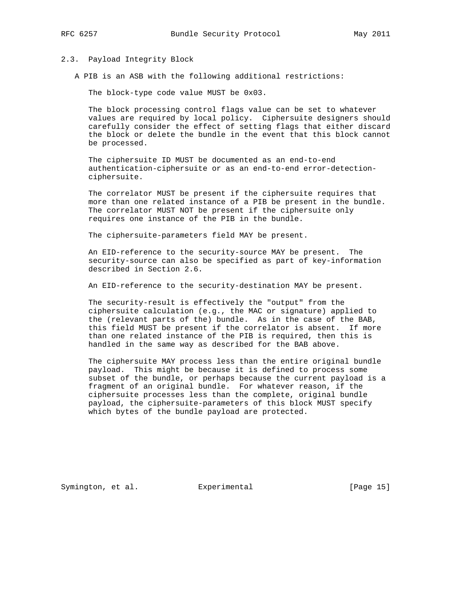### 2.3. Payload Integrity Block

A PIB is an ASB with the following additional restrictions:

The block-type code value MUST be 0x03.

 The block processing control flags value can be set to whatever values are required by local policy. Ciphersuite designers should carefully consider the effect of setting flags that either discard the block or delete the bundle in the event that this block cannot be processed.

 The ciphersuite ID MUST be documented as an end-to-end authentication-ciphersuite or as an end-to-end error-detection ciphersuite.

 The correlator MUST be present if the ciphersuite requires that more than one related instance of a PIB be present in the bundle. The correlator MUST NOT be present if the ciphersuite only requires one instance of the PIB in the bundle.

The ciphersuite-parameters field MAY be present.

 An EID-reference to the security-source MAY be present. The security-source can also be specified as part of key-information described in Section 2.6.

An EID-reference to the security-destination MAY be present.

 The security-result is effectively the "output" from the ciphersuite calculation (e.g., the MAC or signature) applied to the (relevant parts of the) bundle. As in the case of the BAB, this field MUST be present if the correlator is absent. If more than one related instance of the PIB is required, then this is handled in the same way as described for the BAB above.

 The ciphersuite MAY process less than the entire original bundle payload. This might be because it is defined to process some subset of the bundle, or perhaps because the current payload is a fragment of an original bundle. For whatever reason, if the ciphersuite processes less than the complete, original bundle payload, the ciphersuite-parameters of this block MUST specify which bytes of the bundle payload are protected.

Symington, et al. Experimental [Page 15]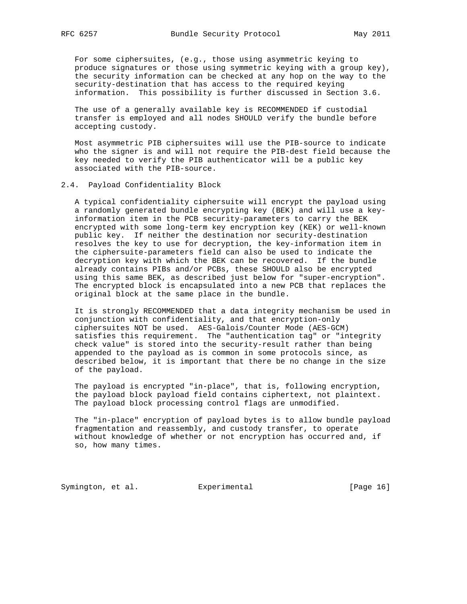For some ciphersuites, (e.g., those using asymmetric keying to produce signatures or those using symmetric keying with a group key), the security information can be checked at any hop on the way to the security-destination that has access to the required keying information. This possibility is further discussed in Section 3.6.

 The use of a generally available key is RECOMMENDED if custodial transfer is employed and all nodes SHOULD verify the bundle before accepting custody.

 Most asymmetric PIB ciphersuites will use the PIB-source to indicate who the signer is and will not require the PIB-dest field because the key needed to verify the PIB authenticator will be a public key associated with the PIB-source.

### 2.4. Payload Confidentiality Block

 A typical confidentiality ciphersuite will encrypt the payload using a randomly generated bundle encrypting key (BEK) and will use a key information item in the PCB security-parameters to carry the BEK encrypted with some long-term key encryption key (KEK) or well-known public key. If neither the destination nor security-destination resolves the key to use for decryption, the key-information item in the ciphersuite-parameters field can also be used to indicate the decryption key with which the BEK can be recovered. If the bundle already contains PIBs and/or PCBs, these SHOULD also be encrypted using this same BEK, as described just below for "super-encryption". The encrypted block is encapsulated into a new PCB that replaces the original block at the same place in the bundle.

 It is strongly RECOMMENDED that a data integrity mechanism be used in conjunction with confidentiality, and that encryption-only ciphersuites NOT be used. AES-Galois/Counter Mode (AES-GCM) satisfies this requirement. The "authentication tag" or "integrity check value" is stored into the security-result rather than being appended to the payload as is common in some protocols since, as described below, it is important that there be no change in the size of the payload.

 The payload is encrypted "in-place", that is, following encryption, the payload block payload field contains ciphertext, not plaintext. The payload block processing control flags are unmodified.

 The "in-place" encryption of payload bytes is to allow bundle payload fragmentation and reassembly, and custody transfer, to operate without knowledge of whether or not encryption has occurred and, if so, how many times.

Symington, et al. Experimental [Page 16]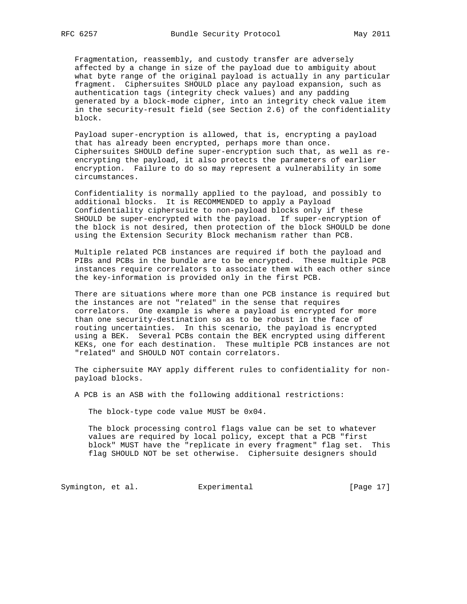Fragmentation, reassembly, and custody transfer are adversely affected by a change in size of the payload due to ambiguity about what byte range of the original payload is actually in any particular fragment. Ciphersuites SHOULD place any payload expansion, such as authentication tags (integrity check values) and any padding generated by a block-mode cipher, into an integrity check value item in the security-result field (see Section 2.6) of the confidentiality block.

 Payload super-encryption is allowed, that is, encrypting a payload that has already been encrypted, perhaps more than once. Ciphersuites SHOULD define super-encryption such that, as well as re encrypting the payload, it also protects the parameters of earlier encryption. Failure to do so may represent a vulnerability in some circumstances.

 Confidentiality is normally applied to the payload, and possibly to additional blocks. It is RECOMMENDED to apply a Payload Confidentiality ciphersuite to non-payload blocks only if these SHOULD be super-encrypted with the payload. If super-encryption of the block is not desired, then protection of the block SHOULD be done using the Extension Security Block mechanism rather than PCB.

 Multiple related PCB instances are required if both the payload and PIBs and PCBs in the bundle are to be encrypted. These multiple PCB instances require correlators to associate them with each other since the key-information is provided only in the first PCB.

 There are situations where more than one PCB instance is required but the instances are not "related" in the sense that requires correlators. One example is where a payload is encrypted for more than one security-destination so as to be robust in the face of routing uncertainties. In this scenario, the payload is encrypted using a BEK. Several PCBs contain the BEK encrypted using different KEKs, one for each destination. These multiple PCB instances are not "related" and SHOULD NOT contain correlators.

 The ciphersuite MAY apply different rules to confidentiality for non payload blocks.

A PCB is an ASB with the following additional restrictions:

The block-type code value MUST be 0x04.

 The block processing control flags value can be set to whatever values are required by local policy, except that a PCB "first block" MUST have the "replicate in every fragment" flag set. This flag SHOULD NOT be set otherwise. Ciphersuite designers should

Symington, et al. Experimental [Page 17]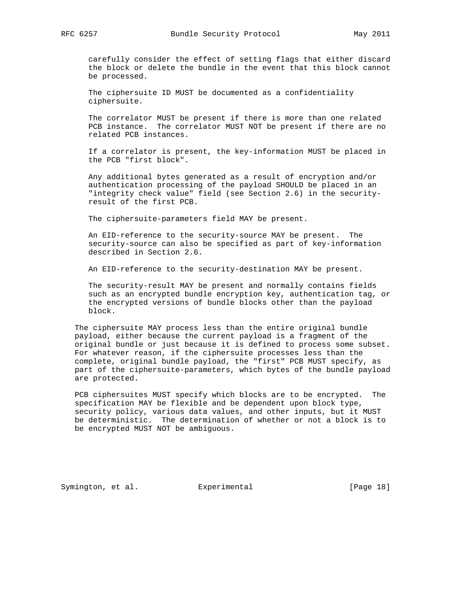carefully consider the effect of setting flags that either discard the block or delete the bundle in the event that this block cannot be processed.

 The ciphersuite ID MUST be documented as a confidentiality ciphersuite.

 The correlator MUST be present if there is more than one related PCB instance. The correlator MUST NOT be present if there are no related PCB instances.

 If a correlator is present, the key-information MUST be placed in the PCB "first block".

 Any additional bytes generated as a result of encryption and/or authentication processing of the payload SHOULD be placed in an "integrity check value" field (see Section 2.6) in the security result of the first PCB.

The ciphersuite-parameters field MAY be present.

 An EID-reference to the security-source MAY be present. The security-source can also be specified as part of key-information described in Section 2.6.

An EID-reference to the security-destination MAY be present.

 The security-result MAY be present and normally contains fields such as an encrypted bundle encryption key, authentication tag, or the encrypted versions of bundle blocks other than the payload block.

 The ciphersuite MAY process less than the entire original bundle payload, either because the current payload is a fragment of the original bundle or just because it is defined to process some subset. For whatever reason, if the ciphersuite processes less than the complete, original bundle payload, the "first" PCB MUST specify, as part of the ciphersuite-parameters, which bytes of the bundle payload are protected.

 PCB ciphersuites MUST specify which blocks are to be encrypted. The specification MAY be flexible and be dependent upon block type, security policy, various data values, and other inputs, but it MUST be deterministic. The determination of whether or not a block is to be encrypted MUST NOT be ambiguous.

Symington, et al. Experimental [Page 18]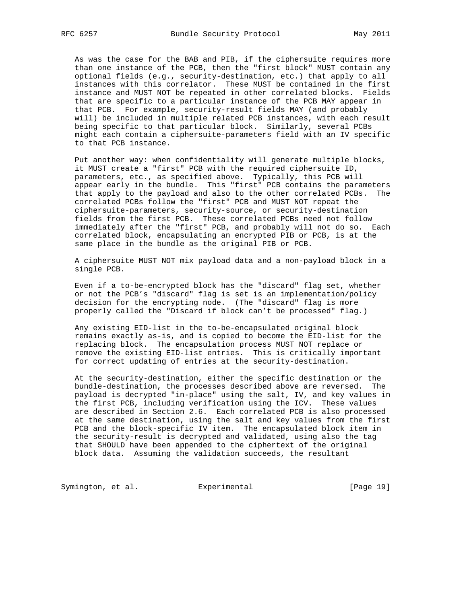As was the case for the BAB and PIB, if the ciphersuite requires more than one instance of the PCB, then the "first block" MUST contain any optional fields (e.g., security-destination, etc.) that apply to all instances with this correlator. These MUST be contained in the first instance and MUST NOT be repeated in other correlated blocks. Fields that are specific to a particular instance of the PCB MAY appear in that PCB. For example, security-result fields MAY (and probably will) be included in multiple related PCB instances, with each result being specific to that particular block. Similarly, several PCBs might each contain a ciphersuite-parameters field with an IV specific to that PCB instance.

 Put another way: when confidentiality will generate multiple blocks, it MUST create a "first" PCB with the required ciphersuite ID, parameters, etc., as specified above. Typically, this PCB will appear early in the bundle. This "first" PCB contains the parameters that apply to the payload and also to the other correlated PCBs. The correlated PCBs follow the "first" PCB and MUST NOT repeat the ciphersuite-parameters, security-source, or security-destination fields from the first PCB. These correlated PCBs need not follow immediately after the "first" PCB, and probably will not do so. Each correlated block, encapsulating an encrypted PIB or PCB, is at the same place in the bundle as the original PIB or PCB.

 A ciphersuite MUST NOT mix payload data and a non-payload block in a single PCB.

 Even if a to-be-encrypted block has the "discard" flag set, whether or not the PCB's "discard" flag is set is an implementation/policy decision for the encrypting node. (The "discard" flag is more properly called the "Discard if block can't be processed" flag.)

 Any existing EID-list in the to-be-encapsulated original block remains exactly as-is, and is copied to become the EID-list for the replacing block. The encapsulation process MUST NOT replace or remove the existing EID-list entries. This is critically important for correct updating of entries at the security-destination.

 At the security-destination, either the specific destination or the bundle-destination, the processes described above are reversed. The payload is decrypted "in-place" using the salt, IV, and key values in the first PCB, including verification using the ICV. These values are described in Section 2.6. Each correlated PCB is also processed at the same destination, using the salt and key values from the first PCB and the block-specific IV item. The encapsulated block item in the security-result is decrypted and validated, using also the tag that SHOULD have been appended to the ciphertext of the original block data. Assuming the validation succeeds, the resultant

Symington, et al. Experimental [Page 19]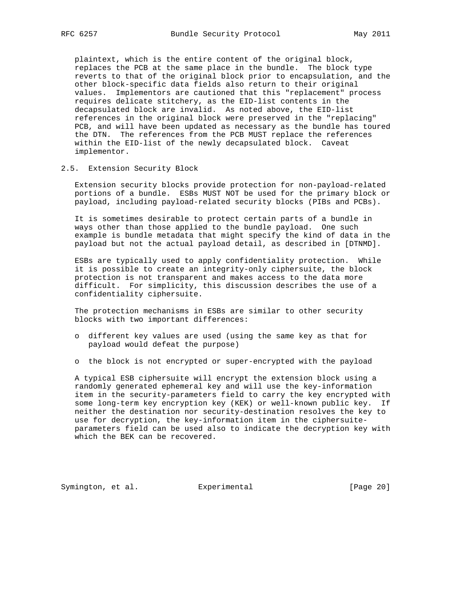plaintext, which is the entire content of the original block, replaces the PCB at the same place in the bundle. The block type reverts to that of the original block prior to encapsulation, and the other block-specific data fields also return to their original values. Implementors are cautioned that this "replacement" process requires delicate stitchery, as the EID-list contents in the decapsulated block are invalid. As noted above, the EID-list references in the original block were preserved in the "replacing" PCB, and will have been updated as necessary as the bundle has toured the DTN. The references from the PCB MUST replace the references within the EID-list of the newly decapsulated block. Caveat implementor.

### 2.5. Extension Security Block

 Extension security blocks provide protection for non-payload-related portions of a bundle. ESBs MUST NOT be used for the primary block or payload, including payload-related security blocks (PIBs and PCBs).

 It is sometimes desirable to protect certain parts of a bundle in ways other than those applied to the bundle payload. One such example is bundle metadata that might specify the kind of data in the payload but not the actual payload detail, as described in [DTNMD].

 ESBs are typically used to apply confidentiality protection. While it is possible to create an integrity-only ciphersuite, the block protection is not transparent and makes access to the data more difficult. For simplicity, this discussion describes the use of a confidentiality ciphersuite.

 The protection mechanisms in ESBs are similar to other security blocks with two important differences:

- o different key values are used (using the same key as that for payload would defeat the purpose)
- o the block is not encrypted or super-encrypted with the payload

 A typical ESB ciphersuite will encrypt the extension block using a randomly generated ephemeral key and will use the key-information item in the security-parameters field to carry the key encrypted with some long-term key encryption key (KEK) or well-known public key. If neither the destination nor security-destination resolves the key to use for decryption, the key-information item in the ciphersuite parameters field can be used also to indicate the decryption key with which the BEK can be recovered.

Symington, et al. Experimental [Page 20]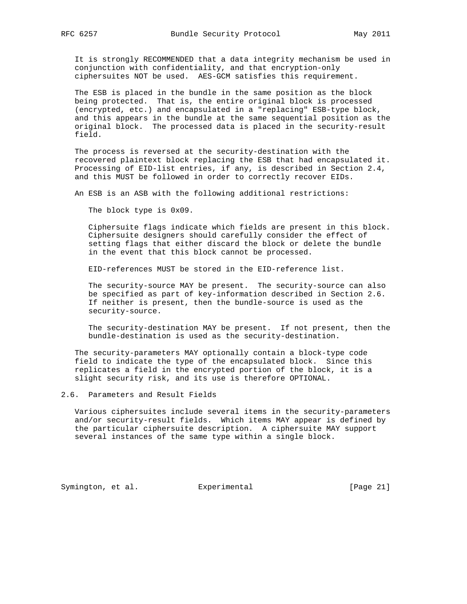It is strongly RECOMMENDED that a data integrity mechanism be used in conjunction with confidentiality, and that encryption-only ciphersuites NOT be used. AES-GCM satisfies this requirement.

 The ESB is placed in the bundle in the same position as the block being protected. That is, the entire original block is processed (encrypted, etc.) and encapsulated in a "replacing" ESB-type block, and this appears in the bundle at the same sequential position as the original block. The processed data is placed in the security-result field.

 The process is reversed at the security-destination with the recovered plaintext block replacing the ESB that had encapsulated it. Processing of EID-list entries, if any, is described in Section 2.4, and this MUST be followed in order to correctly recover EIDs.

An ESB is an ASB with the following additional restrictions:

The block type is 0x09.

 Ciphersuite flags indicate which fields are present in this block. Ciphersuite designers should carefully consider the effect of setting flags that either discard the block or delete the bundle in the event that this block cannot be processed.

EID-references MUST be stored in the EID-reference list.

 The security-source MAY be present. The security-source can also be specified as part of key-information described in Section 2.6. If neither is present, then the bundle-source is used as the security-source.

 The security-destination MAY be present. If not present, then the bundle-destination is used as the security-destination.

 The security-parameters MAY optionally contain a block-type code field to indicate the type of the encapsulated block. Since this replicates a field in the encrypted portion of the block, it is a slight security risk, and its use is therefore OPTIONAL.

2.6. Parameters and Result Fields

 Various ciphersuites include several items in the security-parameters and/or security-result fields. Which items MAY appear is defined by the particular ciphersuite description. A ciphersuite MAY support several instances of the same type within a single block.

Symington, et al. Experimental [Page 21]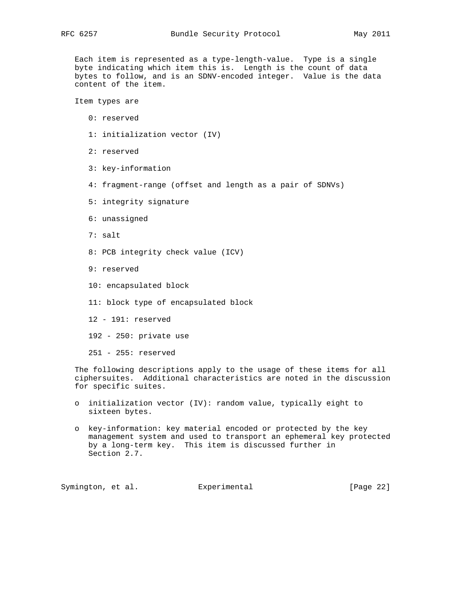Each item is represented as a type-length-value. Type is a single byte indicating which item this is. Length is the count of data bytes to follow, and is an SDNV-encoded integer. Value is the data content of the item.

Item types are

- 0: reserved
- 1: initialization vector (IV)
- 2: reserved
- 3: key-information
- 4: fragment-range (offset and length as a pair of SDNVs)
- 5: integrity signature
- 6: unassigned
- 7: salt
- 8: PCB integrity check value (ICV)
- 9: reserved
- 10: encapsulated block
- 11: block type of encapsulated block
- 12 191: reserved
- 192 250: private use

251 - 255: reserved

 The following descriptions apply to the usage of these items for all ciphersuites. Additional characteristics are noted in the discussion for specific suites.

- o initialization vector (IV): random value, typically eight to sixteen bytes.
- o key-information: key material encoded or protected by the key management system and used to transport an ephemeral key protected by a long-term key. This item is discussed further in Section 2.7.

Symington, et al. Experimental [Page 22]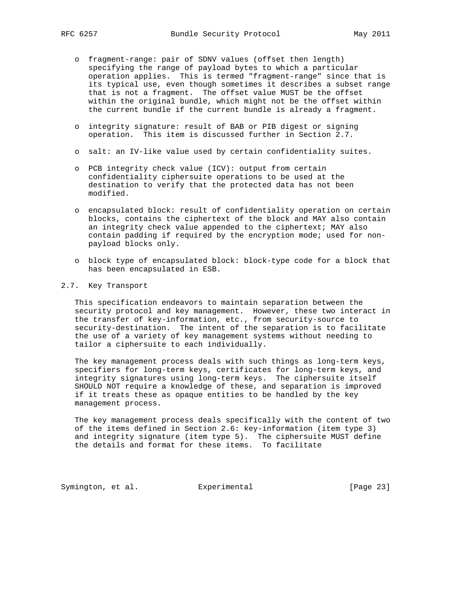- o fragment-range: pair of SDNV values (offset then length) specifying the range of payload bytes to which a particular operation applies. This is termed "fragment-range" since that is its typical use, even though sometimes it describes a subset range that is not a fragment. The offset value MUST be the offset within the original bundle, which might not be the offset within the current bundle if the current bundle is already a fragment.
- o integrity signature: result of BAB or PIB digest or signing operation. This item is discussed further in Section 2.7.
- o salt: an IV-like value used by certain confidentiality suites.
- o PCB integrity check value (ICV): output from certain confidentiality ciphersuite operations to be used at the destination to verify that the protected data has not been modified.
- o encapsulated block: result of confidentiality operation on certain blocks, contains the ciphertext of the block and MAY also contain an integrity check value appended to the ciphertext; MAY also contain padding if required by the encryption mode; used for non payload blocks only.
- o block type of encapsulated block: block-type code for a block that has been encapsulated in ESB.

### 2.7. Key Transport

 This specification endeavors to maintain separation between the security protocol and key management. However, these two interact in the transfer of key-information, etc., from security-source to security-destination. The intent of the separation is to facilitate the use of a variety of key management systems without needing to tailor a ciphersuite to each individually.

 The key management process deals with such things as long-term keys, specifiers for long-term keys, certificates for long-term keys, and integrity signatures using long-term keys. The ciphersuite itself SHOULD NOT require a knowledge of these, and separation is improved if it treats these as opaque entities to be handled by the key management process.

 The key management process deals specifically with the content of two of the items defined in Section 2.6: key-information (item type 3) and integrity signature (item type 5). The ciphersuite MUST define the details and format for these items. To facilitate

Symington, et al. Experimental [Page 23]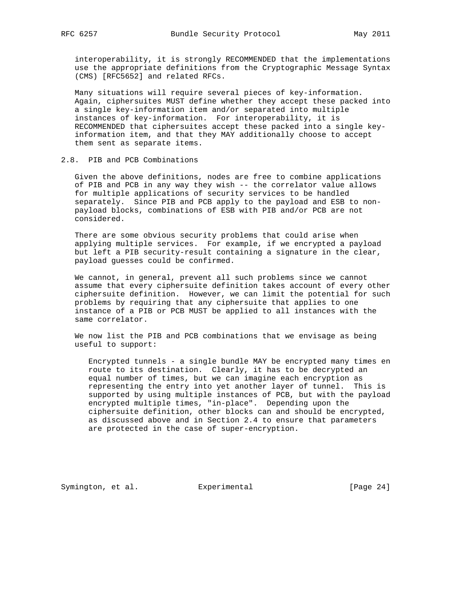interoperability, it is strongly RECOMMENDED that the implementations use the appropriate definitions from the Cryptographic Message Syntax (CMS) [RFC5652] and related RFCs.

 Many situations will require several pieces of key-information. Again, ciphersuites MUST define whether they accept these packed into a single key-information item and/or separated into multiple instances of key-information. For interoperability, it is RECOMMENDED that ciphersuites accept these packed into a single key information item, and that they MAY additionally choose to accept them sent as separate items.

## 2.8. PIB and PCB Combinations

 Given the above definitions, nodes are free to combine applications of PIB and PCB in any way they wish -- the correlator value allows for multiple applications of security services to be handled separately. Since PIB and PCB apply to the payload and ESB to non payload blocks, combinations of ESB with PIB and/or PCB are not considered.

 There are some obvious security problems that could arise when applying multiple services. For example, if we encrypted a payload but left a PIB security-result containing a signature in the clear, payload guesses could be confirmed.

 We cannot, in general, prevent all such problems since we cannot assume that every ciphersuite definition takes account of every other ciphersuite definition. However, we can limit the potential for such problems by requiring that any ciphersuite that applies to one instance of a PIB or PCB MUST be applied to all instances with the same correlator.

 We now list the PIB and PCB combinations that we envisage as being useful to support:

 Encrypted tunnels - a single bundle MAY be encrypted many times en route to its destination. Clearly, it has to be decrypted an equal number of times, but we can imagine each encryption as representing the entry into yet another layer of tunnel. This is supported by using multiple instances of PCB, but with the payload encrypted multiple times, "in-place". Depending upon the ciphersuite definition, other blocks can and should be encrypted, as discussed above and in Section 2.4 to ensure that parameters are protected in the case of super-encryption.

Symington, et al. Experimental [Page 24]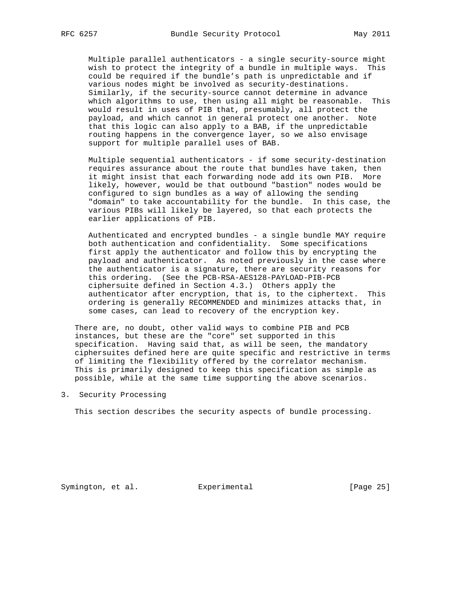Multiple parallel authenticators - a single security-source might wish to protect the integrity of a bundle in multiple ways. This could be required if the bundle's path is unpredictable and if various nodes might be involved as security-destinations. Similarly, if the security-source cannot determine in advance which algorithms to use, then using all might be reasonable. This would result in uses of PIB that, presumably, all protect the payload, and which cannot in general protect one another. Note that this logic can also apply to a BAB, if the unpredictable routing happens in the convergence layer, so we also envisage support for multiple parallel uses of BAB.

 Multiple sequential authenticators - if some security-destination requires assurance about the route that bundles have taken, then it might insist that each forwarding node add its own PIB. More likely, however, would be that outbound "bastion" nodes would be configured to sign bundles as a way of allowing the sending "domain" to take accountability for the bundle. In this case, the various PIBs will likely be layered, so that each protects the earlier applications of PIB.

 Authenticated and encrypted bundles - a single bundle MAY require both authentication and confidentiality. Some specifications first apply the authenticator and follow this by encrypting the payload and authenticator. As noted previously in the case where the authenticator is a signature, there are security reasons for this ordering. (See the PCB-RSA-AES128-PAYLOAD-PIB-PCB ciphersuite defined in Section 4.3.) Others apply the authenticator after encryption, that is, to the ciphertext. This ordering is generally RECOMMENDED and minimizes attacks that, in some cases, can lead to recovery of the encryption key.

 There are, no doubt, other valid ways to combine PIB and PCB instances, but these are the "core" set supported in this specification. Having said that, as will be seen, the mandatory ciphersuites defined here are quite specific and restrictive in terms of limiting the flexibility offered by the correlator mechanism. This is primarily designed to keep this specification as simple as possible, while at the same time supporting the above scenarios.

3. Security Processing

This section describes the security aspects of bundle processing.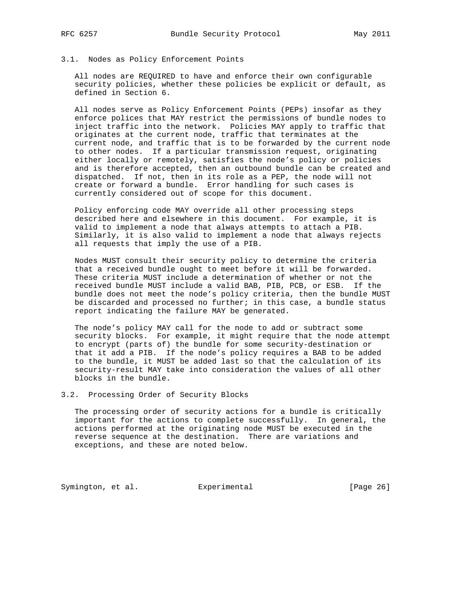## 3.1. Nodes as Policy Enforcement Points

 All nodes are REQUIRED to have and enforce their own configurable security policies, whether these policies be explicit or default, as defined in Section 6.

 All nodes serve as Policy Enforcement Points (PEPs) insofar as they enforce polices that MAY restrict the permissions of bundle nodes to inject traffic into the network. Policies MAY apply to traffic that originates at the current node, traffic that terminates at the current node, and traffic that is to be forwarded by the current node to other nodes. If a particular transmission request, originating either locally or remotely, satisfies the node's policy or policies and is therefore accepted, then an outbound bundle can be created and dispatched. If not, then in its role as a PEP, the node will not create or forward a bundle. Error handling for such cases is currently considered out of scope for this document.

 Policy enforcing code MAY override all other processing steps described here and elsewhere in this document. For example, it is valid to implement a node that always attempts to attach a PIB. Similarly, it is also valid to implement a node that always rejects all requests that imply the use of a PIB.

 Nodes MUST consult their security policy to determine the criteria that a received bundle ought to meet before it will be forwarded. These criteria MUST include a determination of whether or not the received bundle MUST include a valid BAB, PIB, PCB, or ESB. If the bundle does not meet the node's policy criteria, then the bundle MUST be discarded and processed no further; in this case, a bundle status report indicating the failure MAY be generated.

 The node's policy MAY call for the node to add or subtract some security blocks. For example, it might require that the node attempt to encrypt (parts of) the bundle for some security-destination or that it add a PIB. If the node's policy requires a BAB to be added to the bundle, it MUST be added last so that the calculation of its security-result MAY take into consideration the values of all other blocks in the bundle.

3.2. Processing Order of Security Blocks

 The processing order of security actions for a bundle is critically important for the actions to complete successfully. In general, the actions performed at the originating node MUST be executed in the reverse sequence at the destination. There are variations and exceptions, and these are noted below.

Symington, et al. Experimental [Page 26]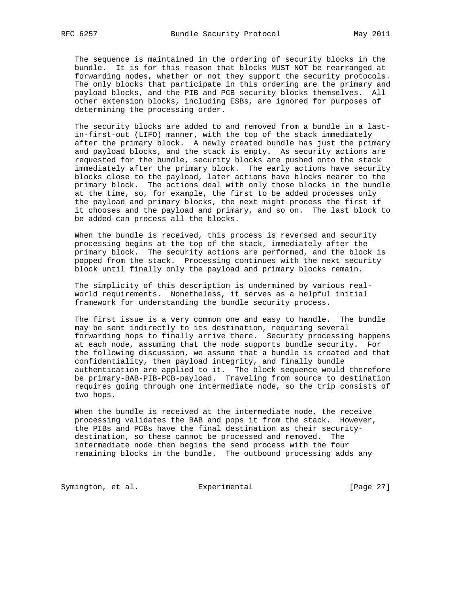The sequence is maintained in the ordering of security blocks in the bundle. It is for this reason that blocks MUST NOT be rearranged at forwarding nodes, whether or not they support the security protocols. The only blocks that participate in this ordering are the primary and payload blocks, and the PIB and PCB security blocks themselves. All other extension blocks, including ESBs, are ignored for purposes of determining the processing order.

 The security blocks are added to and removed from a bundle in a last in-first-out (LIFO) manner, with the top of the stack immediately after the primary block. A newly created bundle has just the primary and payload blocks, and the stack is empty. As security actions are requested for the bundle, security blocks are pushed onto the stack immediately after the primary block. The early actions have security blocks close to the payload, later actions have blocks nearer to the primary block. The actions deal with only those blocks in the bundle at the time, so, for example, the first to be added processes only the payload and primary blocks, the next might process the first if it chooses and the payload and primary, and so on. The last block to be added can process all the blocks.

 When the bundle is received, this process is reversed and security processing begins at the top of the stack, immediately after the primary block. The security actions are performed, and the block is popped from the stack. Processing continues with the next security block until finally only the payload and primary blocks remain.

 The simplicity of this description is undermined by various real world requirements. Nonetheless, it serves as a helpful initial framework for understanding the bundle security process.

 The first issue is a very common one and easy to handle. The bundle may be sent indirectly to its destination, requiring several forwarding hops to finally arrive there. Security processing happens at each node, assuming that the node supports bundle security. For the following discussion, we assume that a bundle is created and that confidentiality, then payload integrity, and finally bundle authentication are applied to it. The block sequence would therefore be primary-BAB-PIB-PCB-payload. Traveling from source to destination requires going through one intermediate node, so the trip consists of two hops.

 When the bundle is received at the intermediate node, the receive processing validates the BAB and pops it from the stack. However, the PIBs and PCBs have the final destination as their security destination, so these cannot be processed and removed. The intermediate node then begins the send process with the four remaining blocks in the bundle. The outbound processing adds any

Symington, et al. Experimental [Page 27]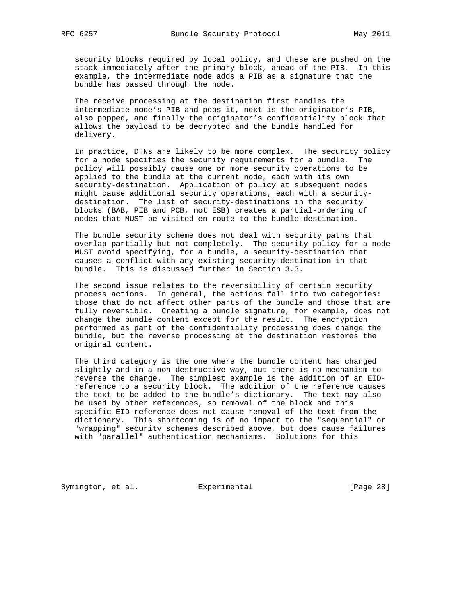security blocks required by local policy, and these are pushed on the stack immediately after the primary block, ahead of the PIB. In this example, the intermediate node adds a PIB as a signature that the bundle has passed through the node.

 The receive processing at the destination first handles the intermediate node's PIB and pops it, next is the originator's PIB, also popped, and finally the originator's confidentiality block that allows the payload to be decrypted and the bundle handled for delivery.

 In practice, DTNs are likely to be more complex. The security policy for a node specifies the security requirements for a bundle. The policy will possibly cause one or more security operations to be applied to the bundle at the current node, each with its own security-destination. Application of policy at subsequent nodes might cause additional security operations, each with a security destination. The list of security-destinations in the security blocks (BAB, PIB and PCB, not ESB) creates a partial-ordering of nodes that MUST be visited en route to the bundle-destination.

 The bundle security scheme does not deal with security paths that overlap partially but not completely. The security policy for a node MUST avoid specifying, for a bundle, a security-destination that causes a conflict with any existing security-destination in that bundle. This is discussed further in Section 3.3.

 The second issue relates to the reversibility of certain security process actions. In general, the actions fall into two categories: those that do not affect other parts of the bundle and those that are fully reversible. Creating a bundle signature, for example, does not change the bundle content except for the result. The encryption performed as part of the confidentiality processing does change the bundle, but the reverse processing at the destination restores the original content.

 The third category is the one where the bundle content has changed slightly and in a non-destructive way, but there is no mechanism to reverse the change. The simplest example is the addition of an EID reference to a security block. The addition of the reference causes the text to be added to the bundle's dictionary. The text may also be used by other references, so removal of the block and this specific EID-reference does not cause removal of the text from the dictionary. This shortcoming is of no impact to the "sequential" or "wrapping" security schemes described above, but does cause failures with "parallel" authentication mechanisms. Solutions for this

Symington, et al. Experimental [Page 28]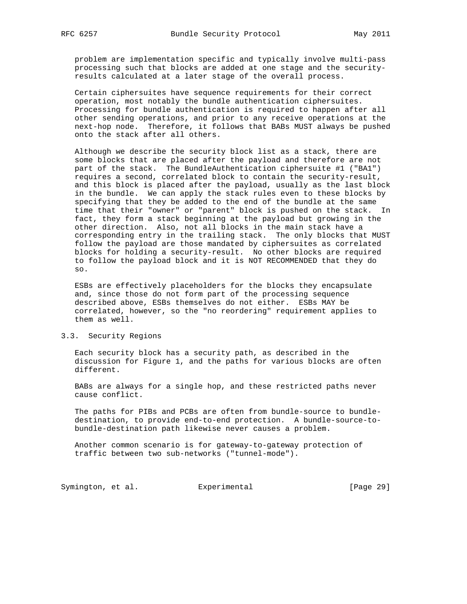problem are implementation specific and typically involve multi-pass processing such that blocks are added at one stage and the security results calculated at a later stage of the overall process.

 Certain ciphersuites have sequence requirements for their correct operation, most notably the bundle authentication ciphersuites. Processing for bundle authentication is required to happen after all other sending operations, and prior to any receive operations at the next-hop node. Therefore, it follows that BABs MUST always be pushed onto the stack after all others.

 Although we describe the security block list as a stack, there are some blocks that are placed after the payload and therefore are not part of the stack. The BundleAuthentication ciphersuite #1 ("BA1") requires a second, correlated block to contain the security-result, and this block is placed after the payload, usually as the last block in the bundle. We can apply the stack rules even to these blocks by specifying that they be added to the end of the bundle at the same time that their "owner" or "parent" block is pushed on the stack. In fact, they form a stack beginning at the payload but growing in the other direction. Also, not all blocks in the main stack have a corresponding entry in the trailing stack. The only blocks that MUST follow the payload are those mandated by ciphersuites as correlated blocks for holding a security-result. No other blocks are required to follow the payload block and it is NOT RECOMMENDED that they do so.

 ESBs are effectively placeholders for the blocks they encapsulate and, since those do not form part of the processing sequence described above, ESBs themselves do not either. ESBs MAY be correlated, however, so the "no reordering" requirement applies to them as well.

### 3.3. Security Regions

 Each security block has a security path, as described in the discussion for Figure 1, and the paths for various blocks are often different.

 BABs are always for a single hop, and these restricted paths never cause conflict.

 The paths for PIBs and PCBs are often from bundle-source to bundle destination, to provide end-to-end protection. A bundle-source-to bundle-destination path likewise never causes a problem.

 Another common scenario is for gateway-to-gateway protection of traffic between two sub-networks ("tunnel-mode").

Symington, et al. Experimental [Page 29]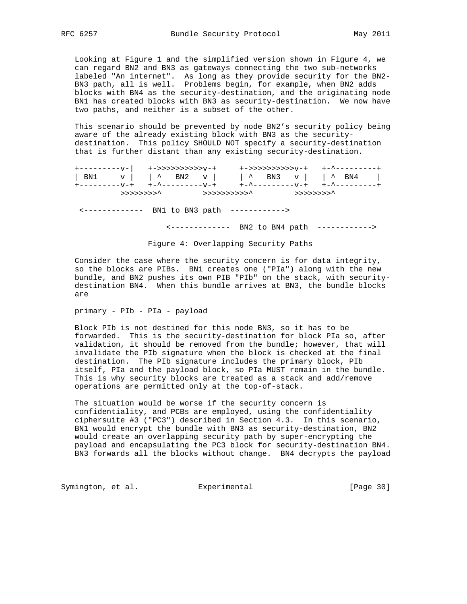Looking at Figure 1 and the simplified version shown in Figure 4, we can regard BN2 and BN3 as gateways connecting the two sub-networks labeled "An internet". As long as they provide security for the BN2- BN3 path, all is well. Problems begin, for example, when BN2 adds blocks with BN4 as the security-destination, and the originating node BN1 has created blocks with BN3 as security-destination. We now have two paths, and neither is a subset of the other.

 This scenario should be prevented by node BN2's security policy being aware of the already existing block with BN3 as the security destination. This policy SHOULD NOT specify a security-destination that is further distant than any existing security-destination.

|            |  | +->>>>>>>>>>>v-+ +-^---------+                                                           |
|------------|--|------------------------------------------------------------------------------------------|
|            |  | $\vert$ BN1 v $\vert$ $\wedge$ BN2 v $\vert$ $\wedge$ BN3 v $\vert$ $\wedge$ BN4 $\vert$ |
|            |  |                                                                                          |
| >>>>>>>>>^ |  |                                                                                          |

<------------- BN1 to BN3 path ------------>

<------------- BN2 to BN4 path ------------>

Figure 4: Overlapping Security Paths

 Consider the case where the security concern is for data integrity, so the blocks are PIBs. BN1 creates one ("PIa") along with the new bundle, and BN2 pushes its own PIB "PIb" on the stack, with security destination BN4. When this bundle arrives at BN3, the bundle blocks are

primary - PIb - PIa - payload

 Block PIb is not destined for this node BN3, so it has to be forwarded. This is the security-destination for block PIa so, after validation, it should be removed from the bundle; however, that will invalidate the PIb signature when the block is checked at the final destination. The PIb signature includes the primary block, PIb itself, PIa and the payload block, so PIa MUST remain in the bundle. This is why security blocks are treated as a stack and add/remove operations are permitted only at the top-of-stack.

 The situation would be worse if the security concern is confidentiality, and PCBs are employed, using the confidentiality ciphersuite #3 ("PC3") described in Section 4.3. In this scenario, BN1 would encrypt the bundle with BN3 as security-destination, BN2 would create an overlapping security path by super-encrypting the payload and encapsulating the PC3 block for security-destination BN4. BN3 forwards all the blocks without change. BN4 decrypts the payload

Symington, et al. Experimental [Page 30]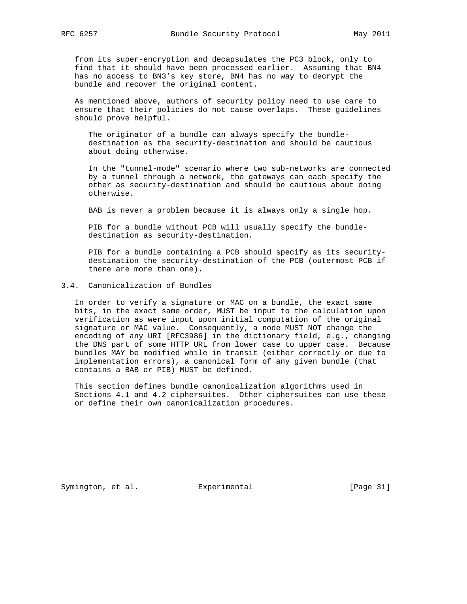from its super-encryption and decapsulates the PC3 block, only to find that it should have been processed earlier. Assuming that BN4 has no access to BN3's key store, BN4 has no way to decrypt the bundle and recover the original content.

 As mentioned above, authors of security policy need to use care to ensure that their policies do not cause overlaps. These guidelines should prove helpful.

 The originator of a bundle can always specify the bundle destination as the security-destination and should be cautious about doing otherwise.

 In the "tunnel-mode" scenario where two sub-networks are connected by a tunnel through a network, the gateways can each specify the other as security-destination and should be cautious about doing otherwise.

BAB is never a problem because it is always only a single hop.

 PIB for a bundle without PCB will usually specify the bundle destination as security-destination.

 PIB for a bundle containing a PCB should specify as its security destination the security-destination of the PCB (outermost PCB if there are more than one).

## 3.4. Canonicalization of Bundles

 In order to verify a signature or MAC on a bundle, the exact same bits, in the exact same order, MUST be input to the calculation upon verification as were input upon initial computation of the original signature or MAC value. Consequently, a node MUST NOT change the encoding of any URI [RFC3986] in the dictionary field, e.g., changing the DNS part of some HTTP URL from lower case to upper case. Because bundles MAY be modified while in transit (either correctly or due to implementation errors), a canonical form of any given bundle (that contains a BAB or PIB) MUST be defined.

 This section defines bundle canonicalization algorithms used in Sections 4.1 and 4.2 ciphersuites. Other ciphersuites can use these or define their own canonicalization procedures.

Symington, et al. Experimental [Page 31]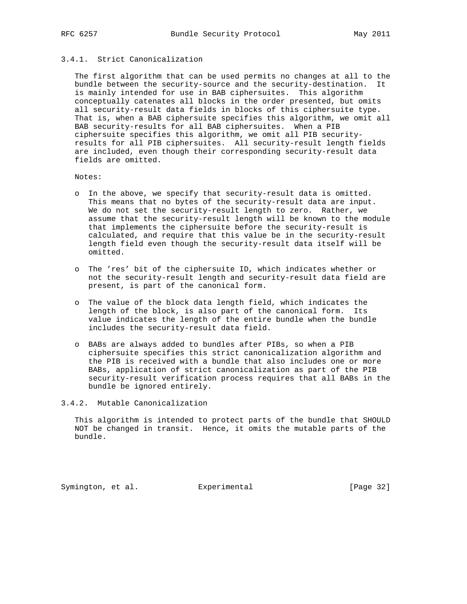# 3.4.1. Strict Canonicalization

 The first algorithm that can be used permits no changes at all to the bundle between the security-source and the security-destination. It is mainly intended for use in BAB ciphersuites. This algorithm conceptually catenates all blocks in the order presented, but omits all security-result data fields in blocks of this ciphersuite type. That is, when a BAB ciphersuite specifies this algorithm, we omit all BAB security-results for all BAB ciphersuites. When a PIB ciphersuite specifies this algorithm, we omit all PIB security results for all PIB ciphersuites. All security-result length fields are included, even though their corresponding security-result data fields are omitted.

Notes:

- o In the above, we specify that security-result data is omitted. This means that no bytes of the security-result data are input. We do not set the security-result length to zero. Rather, we assume that the security-result length will be known to the module that implements the ciphersuite before the security-result is calculated, and require that this value be in the security-result length field even though the security-result data itself will be omitted.
- o The 'res' bit of the ciphersuite ID, which indicates whether or not the security-result length and security-result data field are present, is part of the canonical form.
- o The value of the block data length field, which indicates the length of the block, is also part of the canonical form. Its value indicates the length of the entire bundle when the bundle includes the security-result data field.
- o BABs are always added to bundles after PIBs, so when a PIB ciphersuite specifies this strict canonicalization algorithm and the PIB is received with a bundle that also includes one or more BABs, application of strict canonicalization as part of the PIB security-result verification process requires that all BABs in the bundle be ignored entirely.
- 3.4.2. Mutable Canonicalization

 This algorithm is intended to protect parts of the bundle that SHOULD NOT be changed in transit. Hence, it omits the mutable parts of the bundle.

Symington, et al. Experimental [Page 32]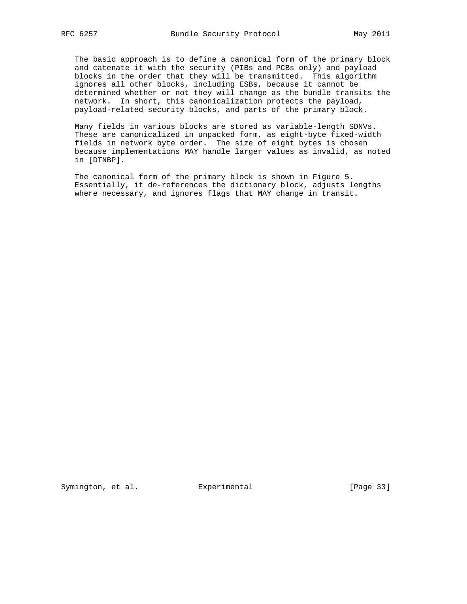The basic approach is to define a canonical form of the primary block and catenate it with the security (PIBs and PCBs only) and payload blocks in the order that they will be transmitted. This algorithm ignores all other blocks, including ESBs, because it cannot be determined whether or not they will change as the bundle transits the network. In short, this canonicalization protects the payload, payload-related security blocks, and parts of the primary block.

 Many fields in various blocks are stored as variable-length SDNVs. These are canonicalized in unpacked form, as eight-byte fixed-width fields in network byte order. The size of eight bytes is chosen because implementations MAY handle larger values as invalid, as noted in [DTNBP].

 The canonical form of the primary block is shown in Figure 5. Essentially, it de-references the dictionary block, adjusts lengths where necessary, and ignores flags that MAY change in transit.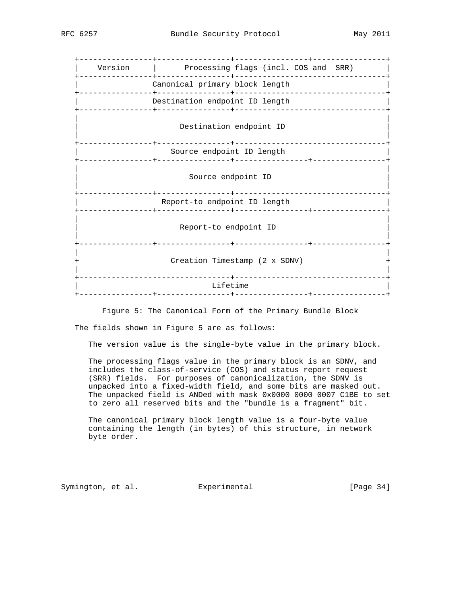| Version   Processing flags (incl. COS and SRR) |
|------------------------------------------------|
| Canonical primary block length                 |
| Destination endpoint ID length                 |
| Destination endpoint ID                        |
| Source endpoint ID length                      |
| Source endpoint ID                             |
| Report-to endpoint ID length                   |
| Report-to endpoint ID                          |
| Creation Timestamp (2 x SDNV)                  |
| Lifetime                                       |
|                                                |

Figure 5: The Canonical Form of the Primary Bundle Block

The fields shown in Figure 5 are as follows:

The version value is the single-byte value in the primary block.

 The processing flags value in the primary block is an SDNV, and includes the class-of-service (COS) and status report request (SRR) fields. For purposes of canonicalization, the SDNV is unpacked into a fixed-width field, and some bits are masked out. The unpacked field is ANDed with mask 0x0000 0000 0007 C1BE to set to zero all reserved bits and the "bundle is a fragment" bit.

 The canonical primary block length value is a four-byte value containing the length (in bytes) of this structure, in network byte order.

Symington, et al. Experimental [Page 34]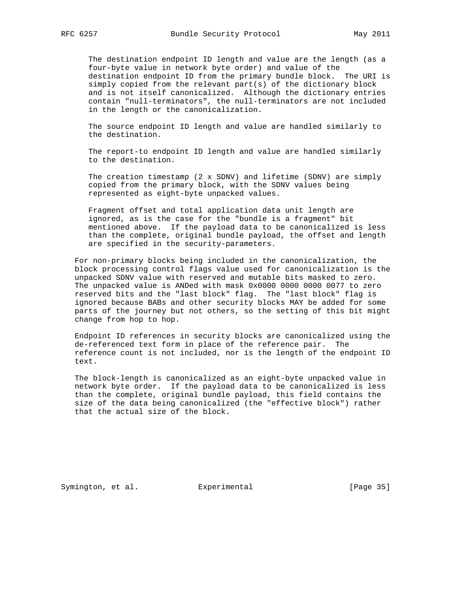The destination endpoint ID length and value are the length (as a four-byte value in network byte order) and value of the destination endpoint ID from the primary bundle block. The URI is simply copied from the relevant part(s) of the dictionary block and is not itself canonicalized. Although the dictionary entries contain "null-terminators", the null-terminators are not included in the length or the canonicalization.

 The source endpoint ID length and value are handled similarly to the destination.

 The report-to endpoint ID length and value are handled similarly to the destination.

The creation timestamp (2  $x$  SDNV) and lifetime (SDNV) are simply copied from the primary block, with the SDNV values being represented as eight-byte unpacked values.

 Fragment offset and total application data unit length are ignored, as is the case for the "bundle is a fragment" bit mentioned above. If the payload data to be canonicalized is less than the complete, original bundle payload, the offset and length are specified in the security-parameters.

 For non-primary blocks being included in the canonicalization, the block processing control flags value used for canonicalization is the unpacked SDNV value with reserved and mutable bits masked to zero. The unpacked value is ANDed with mask 0x0000 0000 0000 0077 to zero reserved bits and the "last block" flag. The "last block" flag is ignored because BABs and other security blocks MAY be added for some parts of the journey but not others, so the setting of this bit might change from hop to hop.

 Endpoint ID references in security blocks are canonicalized using the de-referenced text form in place of the reference pair. The reference count is not included, nor is the length of the endpoint ID text.

 The block-length is canonicalized as an eight-byte unpacked value in network byte order. If the payload data to be canonicalized is less than the complete, original bundle payload, this field contains the size of the data being canonicalized (the "effective block") rather that the actual size of the block.

Symington, et al. Experimental [Page 35]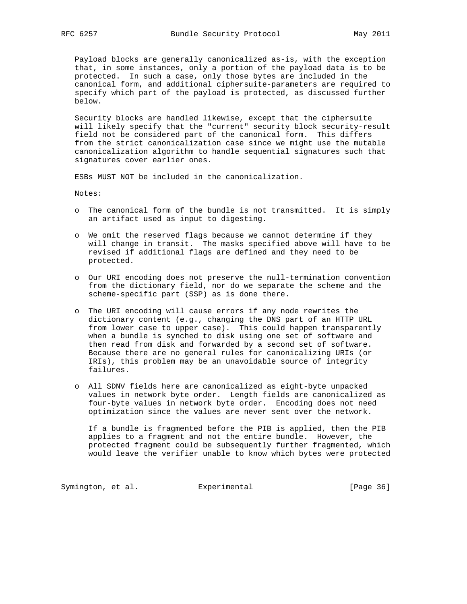Payload blocks are generally canonicalized as-is, with the exception that, in some instances, only a portion of the payload data is to be protected. In such a case, only those bytes are included in the canonical form, and additional ciphersuite-parameters are required to specify which part of the payload is protected, as discussed further below.

 Security blocks are handled likewise, except that the ciphersuite will likely specify that the "current" security block security-result field not be considered part of the canonical form. This differs from the strict canonicalization case since we might use the mutable canonicalization algorithm to handle sequential signatures such that signatures cover earlier ones.

ESBs MUST NOT be included in the canonicalization.

Notes:

- o The canonical form of the bundle is not transmitted. It is simply an artifact used as input to digesting.
- o We omit the reserved flags because we cannot determine if they will change in transit. The masks specified above will have to be revised if additional flags are defined and they need to be protected.
- o Our URI encoding does not preserve the null-termination convention from the dictionary field, nor do we separate the scheme and the scheme-specific part (SSP) as is done there.
- o The URI encoding will cause errors if any node rewrites the dictionary content (e.g., changing the DNS part of an HTTP URL from lower case to upper case). This could happen transparently when a bundle is synched to disk using one set of software and then read from disk and forwarded by a second set of software. Because there are no general rules for canonicalizing URIs (or IRIs), this problem may be an unavoidable source of integrity failures.
- o All SDNV fields here are canonicalized as eight-byte unpacked values in network byte order. Length fields are canonicalized as four-byte values in network byte order. Encoding does not need optimization since the values are never sent over the network.

 If a bundle is fragmented before the PIB is applied, then the PIB applies to a fragment and not the entire bundle. However, the protected fragment could be subsequently further fragmented, which would leave the verifier unable to know which bytes were protected

Symington, et al. Experimental [Page 36]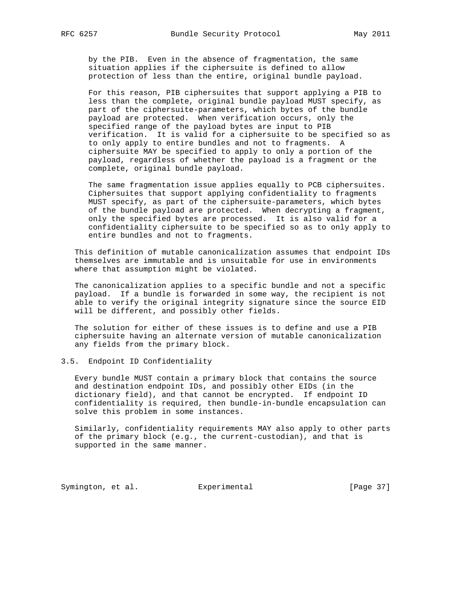by the PIB. Even in the absence of fragmentation, the same situation applies if the ciphersuite is defined to allow protection of less than the entire, original bundle payload.

 For this reason, PIB ciphersuites that support applying a PIB to less than the complete, original bundle payload MUST specify, as part of the ciphersuite-parameters, which bytes of the bundle payload are protected. When verification occurs, only the specified range of the payload bytes are input to PIB verification. It is valid for a ciphersuite to be specified so as to only apply to entire bundles and not to fragments. A ciphersuite MAY be specified to apply to only a portion of the payload, regardless of whether the payload is a fragment or the complete, original bundle payload.

 The same fragmentation issue applies equally to PCB ciphersuites. Ciphersuites that support applying confidentiality to fragments MUST specify, as part of the ciphersuite-parameters, which bytes of the bundle payload are protected. When decrypting a fragment, only the specified bytes are processed. It is also valid for a confidentiality ciphersuite to be specified so as to only apply to entire bundles and not to fragments.

 This definition of mutable canonicalization assumes that endpoint IDs themselves are immutable and is unsuitable for use in environments where that assumption might be violated.

 The canonicalization applies to a specific bundle and not a specific payload. If a bundle is forwarded in some way, the recipient is not able to verify the original integrity signature since the source EID will be different, and possibly other fields.

 The solution for either of these issues is to define and use a PIB ciphersuite having an alternate version of mutable canonicalization any fields from the primary block.

### 3.5. Endpoint ID Confidentiality

 Every bundle MUST contain a primary block that contains the source and destination endpoint IDs, and possibly other EIDs (in the dictionary field), and that cannot be encrypted. If endpoint ID confidentiality is required, then bundle-in-bundle encapsulation can solve this problem in some instances.

 Similarly, confidentiality requirements MAY also apply to other parts of the primary block (e.g., the current-custodian), and that is supported in the same manner.

Symington, et al. Experimental [Page 37]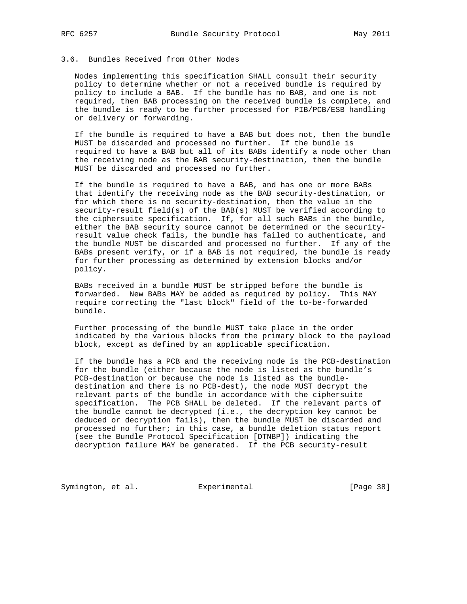## 3.6. Bundles Received from Other Nodes

 Nodes implementing this specification SHALL consult their security policy to determine whether or not a received bundle is required by policy to include a BAB. If the bundle has no BAB, and one is not required, then BAB processing on the received bundle is complete, and the bundle is ready to be further processed for PIB/PCB/ESB handling or delivery or forwarding.

 If the bundle is required to have a BAB but does not, then the bundle MUST be discarded and processed no further. If the bundle is required to have a BAB but all of its BABs identify a node other than the receiving node as the BAB security-destination, then the bundle MUST be discarded and processed no further.

 If the bundle is required to have a BAB, and has one or more BABs that identify the receiving node as the BAB security-destination, or for which there is no security-destination, then the value in the security-result field(s) of the BAB(s) MUST be verified according to the ciphersuite specification. If, for all such BABs in the bundle, either the BAB security source cannot be determined or the security result value check fails, the bundle has failed to authenticate, and the bundle MUST be discarded and processed no further. If any of the BABs present verify, or if a BAB is not required, the bundle is ready for further processing as determined by extension blocks and/or policy.

 BABs received in a bundle MUST be stripped before the bundle is forwarded. New BABs MAY be added as required by policy. This MAY require correcting the "last block" field of the to-be-forwarded bundle.

 Further processing of the bundle MUST take place in the order indicated by the various blocks from the primary block to the payload block, except as defined by an applicable specification.

 If the bundle has a PCB and the receiving node is the PCB-destination for the bundle (either because the node is listed as the bundle's PCB-destination or because the node is listed as the bundle destination and there is no PCB-dest), the node MUST decrypt the relevant parts of the bundle in accordance with the ciphersuite specification. The PCB SHALL be deleted. If the relevant parts of the bundle cannot be decrypted (i.e., the decryption key cannot be deduced or decryption fails), then the bundle MUST be discarded and processed no further; in this case, a bundle deletion status report (see the Bundle Protocol Specification [DTNBP]) indicating the decryption failure MAY be generated. If the PCB security-result

Symington, et al. Experimental [Page 38]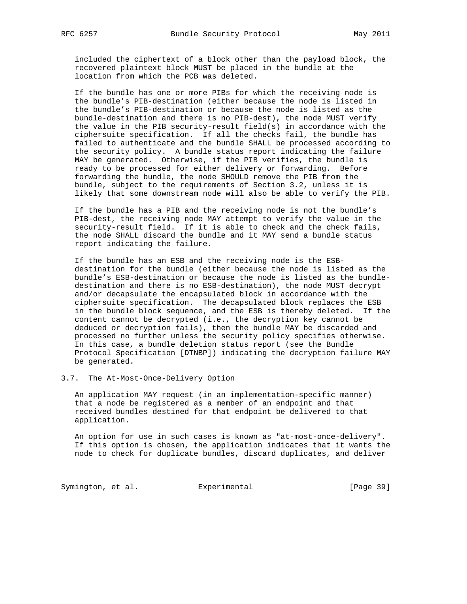included the ciphertext of a block other than the payload block, the recovered plaintext block MUST be placed in the bundle at the location from which the PCB was deleted.

 If the bundle has one or more PIBs for which the receiving node is the bundle's PIB-destination (either because the node is listed in the bundle's PIB-destination or because the node is listed as the bundle-destination and there is no PIB-dest), the node MUST verify the value in the PIB security-result field(s) in accordance with the ciphersuite specification. If all the checks fail, the bundle has failed to authenticate and the bundle SHALL be processed according to the security policy. A bundle status report indicating the failure MAY be generated. Otherwise, if the PIB verifies, the bundle is ready to be processed for either delivery or forwarding. Before forwarding the bundle, the node SHOULD remove the PIB from the bundle, subject to the requirements of Section 3.2, unless it is likely that some downstream node will also be able to verify the PIB.

 If the bundle has a PIB and the receiving node is not the bundle's PIB-dest, the receiving node MAY attempt to verify the value in the security-result field. If it is able to check and the check fails, the node SHALL discard the bundle and it MAY send a bundle status report indicating the failure.

 If the bundle has an ESB and the receiving node is the ESB destination for the bundle (either because the node is listed as the bundle's ESB-destination or because the node is listed as the bundle destination and there is no ESB-destination), the node MUST decrypt and/or decapsulate the encapsulated block in accordance with the ciphersuite specification. The decapsulated block replaces the ESB in the bundle block sequence, and the ESB is thereby deleted. If the content cannot be decrypted (i.e., the decryption key cannot be deduced or decryption fails), then the bundle MAY be discarded and processed no further unless the security policy specifies otherwise. In this case, a bundle deletion status report (see the Bundle Protocol Specification [DTNBP]) indicating the decryption failure MAY be generated.

3.7. The At-Most-Once-Delivery Option

 An application MAY request (in an implementation-specific manner) that a node be registered as a member of an endpoint and that received bundles destined for that endpoint be delivered to that application.

 An option for use in such cases is known as "at-most-once-delivery". If this option is chosen, the application indicates that it wants the node to check for duplicate bundles, discard duplicates, and deliver

Symington, et al. Experimental [Page 39]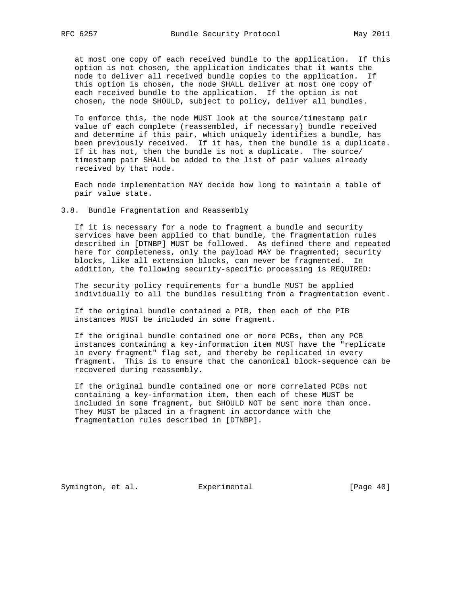at most one copy of each received bundle to the application. If this option is not chosen, the application indicates that it wants the node to deliver all received bundle copies to the application. If this option is chosen, the node SHALL deliver at most one copy of each received bundle to the application. If the option is not chosen, the node SHOULD, subject to policy, deliver all bundles.

 To enforce this, the node MUST look at the source/timestamp pair value of each complete (reassembled, if necessary) bundle received and determine if this pair, which uniquely identifies a bundle, has been previously received. If it has, then the bundle is a duplicate. If it has not, then the bundle is not a duplicate. The source/ timestamp pair SHALL be added to the list of pair values already received by that node.

 Each node implementation MAY decide how long to maintain a table of pair value state.

3.8. Bundle Fragmentation and Reassembly

 If it is necessary for a node to fragment a bundle and security services have been applied to that bundle, the fragmentation rules described in [DTNBP] MUST be followed. As defined there and repeated here for completeness, only the payload MAY be fragmented; security blocks, like all extension blocks, can never be fragmented. In addition, the following security-specific processing is REQUIRED:

 The security policy requirements for a bundle MUST be applied individually to all the bundles resulting from a fragmentation event.

 If the original bundle contained a PIB, then each of the PIB instances MUST be included in some fragment.

 If the original bundle contained one or more PCBs, then any PCB instances containing a key-information item MUST have the "replicate in every fragment" flag set, and thereby be replicated in every fragment. This is to ensure that the canonical block-sequence can be recovered during reassembly.

 If the original bundle contained one or more correlated PCBs not containing a key-information item, then each of these MUST be included in some fragment, but SHOULD NOT be sent more than once. They MUST be placed in a fragment in accordance with the fragmentation rules described in [DTNBP].

Symington, et al. Experimental [Page 40]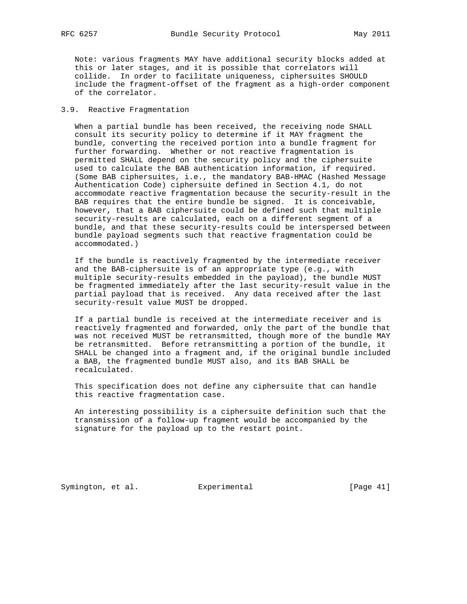Note: various fragments MAY have additional security blocks added at this or later stages, and it is possible that correlators will collide. In order to facilitate uniqueness, ciphersuites SHOULD include the fragment-offset of the fragment as a high-order component of the correlator.

## 3.9. Reactive Fragmentation

 When a partial bundle has been received, the receiving node SHALL consult its security policy to determine if it MAY fragment the bundle, converting the received portion into a bundle fragment for further forwarding. Whether or not reactive fragmentation is permitted SHALL depend on the security policy and the ciphersuite used to calculate the BAB authentication information, if required. (Some BAB ciphersuites, i.e., the mandatory BAB-HMAC (Hashed Message Authentication Code) ciphersuite defined in Section 4.1, do not accommodate reactive fragmentation because the security-result in the BAB requires that the entire bundle be signed. It is conceivable, however, that a BAB ciphersuite could be defined such that multiple security-results are calculated, each on a different segment of a bundle, and that these security-results could be interspersed between bundle payload segments such that reactive fragmentation could be accommodated.)

 If the bundle is reactively fragmented by the intermediate receiver and the BAB-ciphersuite is of an appropriate type (e.g., with multiple security-results embedded in the payload), the bundle MUST be fragmented immediately after the last security-result value in the partial payload that is received. Any data received after the last security-result value MUST be dropped.

 If a partial bundle is received at the intermediate receiver and is reactively fragmented and forwarded, only the part of the bundle that was not received MUST be retransmitted, though more of the bundle MAY be retransmitted. Before retransmitting a portion of the bundle, it SHALL be changed into a fragment and, if the original bundle included a BAB, the fragmented bundle MUST also, and its BAB SHALL be recalculated.

 This specification does not define any ciphersuite that can handle this reactive fragmentation case.

 An interesting possibility is a ciphersuite definition such that the transmission of a follow-up fragment would be accompanied by the signature for the payload up to the restart point.

Symington, et al. Experimental [Page 41]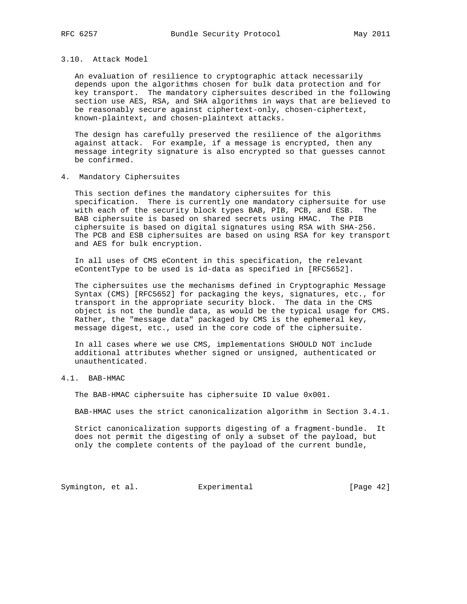### 3.10. Attack Model

 An evaluation of resilience to cryptographic attack necessarily depends upon the algorithms chosen for bulk data protection and for key transport. The mandatory ciphersuites described in the following section use AES, RSA, and SHA algorithms in ways that are believed to be reasonably secure against ciphertext-only, chosen-ciphertext, known-plaintext, and chosen-plaintext attacks.

 The design has carefully preserved the resilience of the algorithms against attack. For example, if a message is encrypted, then any message integrity signature is also encrypted so that guesses cannot be confirmed.

4. Mandatory Ciphersuites

 This section defines the mandatory ciphersuites for this specification. There is currently one mandatory ciphersuite for use with each of the security block types BAB, PIB, PCB, and ESB. The BAB ciphersuite is based on shared secrets using HMAC. The PIB ciphersuite is based on digital signatures using RSA with SHA-256. The PCB and ESB ciphersuites are based on using RSA for key transport and AES for bulk encryption.

 In all uses of CMS eContent in this specification, the relevant eContentType to be used is id-data as specified in [RFC5652].

 The ciphersuites use the mechanisms defined in Cryptographic Message Syntax (CMS) [RFC5652] for packaging the keys, signatures, etc., for transport in the appropriate security block. The data in the CMS object is not the bundle data, as would be the typical usage for CMS. Rather, the "message data" packaged by CMS is the ephemeral key, message digest, etc., used in the core code of the ciphersuite.

 In all cases where we use CMS, implementations SHOULD NOT include additional attributes whether signed or unsigned, authenticated or unauthenticated.

## 4.1. BAB-HMAC

The BAB-HMAC ciphersuite has ciphersuite ID value 0x001.

BAB-HMAC uses the strict canonicalization algorithm in Section 3.4.1.

 Strict canonicalization supports digesting of a fragment-bundle. It does not permit the digesting of only a subset of the payload, but only the complete contents of the payload of the current bundle,

Symington, et al. Experimental [Page 42]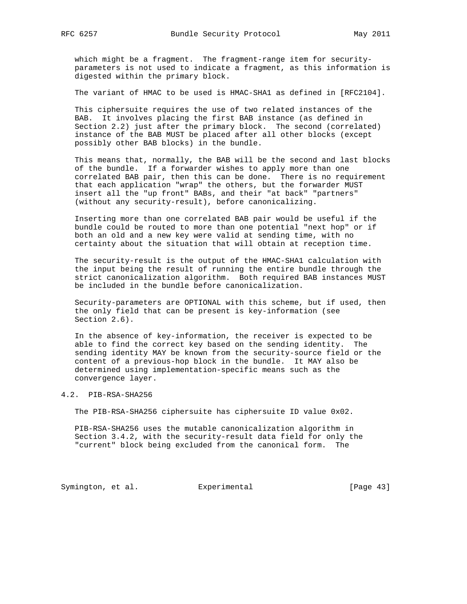which might be a fragment. The fragment-range item for security parameters is not used to indicate a fragment, as this information is digested within the primary block.

The variant of HMAC to be used is HMAC-SHA1 as defined in [RFC2104].

 This ciphersuite requires the use of two related instances of the BAB. It involves placing the first BAB instance (as defined in Section 2.2) just after the primary block. The second (correlated) instance of the BAB MUST be placed after all other blocks (except possibly other BAB blocks) in the bundle.

 This means that, normally, the BAB will be the second and last blocks of the bundle. If a forwarder wishes to apply more than one correlated BAB pair, then this can be done. There is no requirement that each application "wrap" the others, but the forwarder MUST insert all the "up front" BABs, and their "at back" "partners" (without any security-result), before canonicalizing.

 Inserting more than one correlated BAB pair would be useful if the bundle could be routed to more than one potential "next hop" or if both an old and a new key were valid at sending time, with no certainty about the situation that will obtain at reception time.

 The security-result is the output of the HMAC-SHA1 calculation with the input being the result of running the entire bundle through the strict canonicalization algorithm. Both required BAB instances MUST be included in the bundle before canonicalization.

 Security-parameters are OPTIONAL with this scheme, but if used, then the only field that can be present is key-information (see Section 2.6).

 In the absence of key-information, the receiver is expected to be able to find the correct key based on the sending identity. The sending identity MAY be known from the security-source field or the content of a previous-hop block in the bundle. It MAY also be determined using implementation-specific means such as the convergence layer.

### 4.2. PIB-RSA-SHA256

The PIB-RSA-SHA256 ciphersuite has ciphersuite ID value 0x02.

 PIB-RSA-SHA256 uses the mutable canonicalization algorithm in Section 3.4.2, with the security-result data field for only the "current" block being excluded from the canonical form. The

Symington, et al. Experimental [Page 43]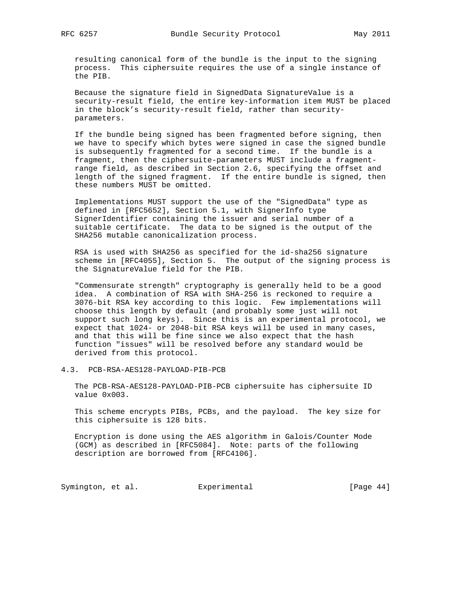resulting canonical form of the bundle is the input to the signing process. This ciphersuite requires the use of a single instance of the PIB.

 Because the signature field in SignedData SignatureValue is a security-result field, the entire key-information item MUST be placed in the block's security-result field, rather than security parameters.

 If the bundle being signed has been fragmented before signing, then we have to specify which bytes were signed in case the signed bundle is subsequently fragmented for a second time. If the bundle is a fragment, then the ciphersuite-parameters MUST include a fragment range field, as described in Section 2.6, specifying the offset and length of the signed fragment. If the entire bundle is signed, then these numbers MUST be omitted.

 Implementations MUST support the use of the "SignedData" type as defined in [RFC5652], Section 5.1, with SignerInfo type SignerIdentifier containing the issuer and serial number of a suitable certificate. The data to be signed is the output of the SHA256 mutable canonicalization process.

 RSA is used with SHA256 as specified for the id-sha256 signature scheme in [RFC4055], Section 5. The output of the signing process is the SignatureValue field for the PIB.

 "Commensurate strength" cryptography is generally held to be a good idea. A combination of RSA with SHA-256 is reckoned to require a 3076-bit RSA key according to this logic. Few implementations will choose this length by default (and probably some just will not support such long keys). Since this is an experimental protocol, we expect that 1024- or 2048-bit RSA keys will be used in many cases, and that this will be fine since we also expect that the hash function "issues" will be resolved before any standard would be derived from this protocol.

4.3. PCB-RSA-AES128-PAYLOAD-PIB-PCB

 The PCB-RSA-AES128-PAYLOAD-PIB-PCB ciphersuite has ciphersuite ID value 0x003.

 This scheme encrypts PIBs, PCBs, and the payload. The key size for this ciphersuite is 128 bits.

 Encryption is done using the AES algorithm in Galois/Counter Mode (GCM) as described in [RFC5084]. Note: parts of the following description are borrowed from [RFC4106].

Symington, et al. Experimental Formula (Page 44)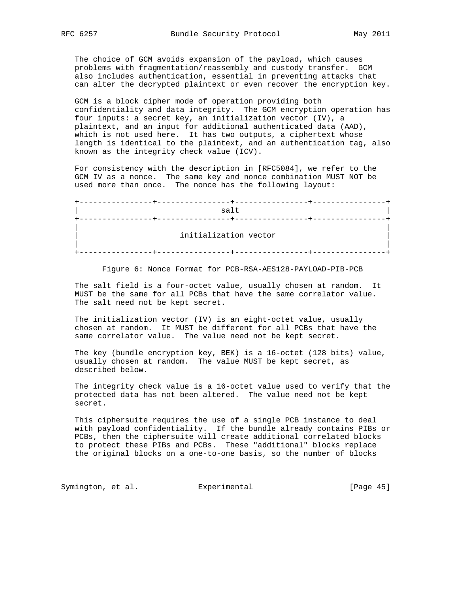The choice of GCM avoids expansion of the payload, which causes problems with fragmentation/reassembly and custody transfer. GCM also includes authentication, essential in preventing attacks that can alter the decrypted plaintext or even recover the encryption key.

 GCM is a block cipher mode of operation providing both confidentiality and data integrity. The GCM encryption operation has four inputs: a secret key, an initialization vector (IV), a plaintext, and an input for additional authenticated data (AAD), which is not used here. It has two outputs, a ciphertext whose length is identical to the plaintext, and an authentication tag, also known as the integrity check value (ICV).

 For consistency with the description in [RFC5084], we refer to the GCM IV as a nonce. The same key and nonce combination MUST NOT be used more than once. The nonce has the following layout:

 +----------------+----------------+----------------+----------------+  $\mathsf{salt}$   $\qquad \qquad$   $\mathsf{salt}$   $\qquad \qquad$  +----------------+----------------+----------------+----------------+ | | initialization vector | | +----------------+----------------+----------------+----------------+

Figure 6: Nonce Format for PCB-RSA-AES128-PAYLOAD-PIB-PCB

 The salt field is a four-octet value, usually chosen at random. It MUST be the same for all PCBs that have the same correlator value. The salt need not be kept secret.

 The initialization vector (IV) is an eight-octet value, usually chosen at random. It MUST be different for all PCBs that have the same correlator value. The value need not be kept secret.

 The key (bundle encryption key, BEK) is a 16-octet (128 bits) value, usually chosen at random. The value MUST be kept secret, as described below.

 The integrity check value is a 16-octet value used to verify that the protected data has not been altered. The value need not be kept secret.

 This ciphersuite requires the use of a single PCB instance to deal with payload confidentiality. If the bundle already contains PIBs or PCBs, then the ciphersuite will create additional correlated blocks to protect these PIBs and PCBs. These "additional" blocks replace the original blocks on a one-to-one basis, so the number of blocks

Symington, et al. Experimental [Page 45]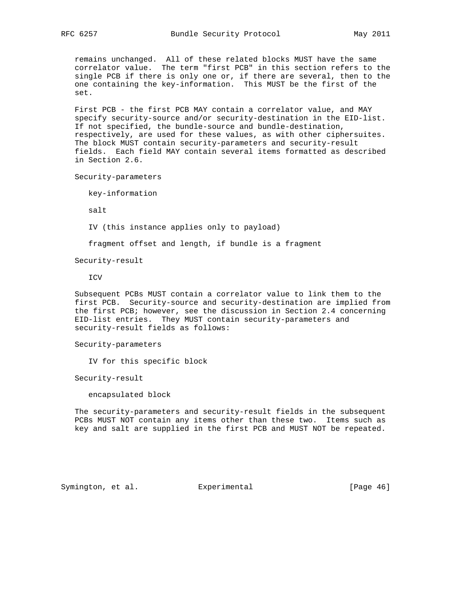remains unchanged. All of these related blocks MUST have the same correlator value. The term "first PCB" in this section refers to the single PCB if there is only one or, if there are several, then to the one containing the key-information. This MUST be the first of the set.

 First PCB - the first PCB MAY contain a correlator value, and MAY specify security-source and/or security-destination in the EID-list. If not specified, the bundle-source and bundle-destination, respectively, are used for these values, as with other ciphersuites. The block MUST contain security-parameters and security-result fields. Each field MAY contain several items formatted as described in Section 2.6.

Security-parameters

key-information

salt

IV (this instance applies only to payload)

fragment offset and length, if bundle is a fragment

Security-result

ICV

 Subsequent PCBs MUST contain a correlator value to link them to the first PCB. Security-source and security-destination are implied from the first PCB; however, see the discussion in Section 2.4 concerning EID-list entries. They MUST contain security-parameters and security-result fields as follows:

Security-parameters

IV for this specific block

Security-result

encapsulated block

 The security-parameters and security-result fields in the subsequent PCBs MUST NOT contain any items other than these two. Items such as key and salt are supplied in the first PCB and MUST NOT be repeated.

Symington, et al. Experimental [Page 46]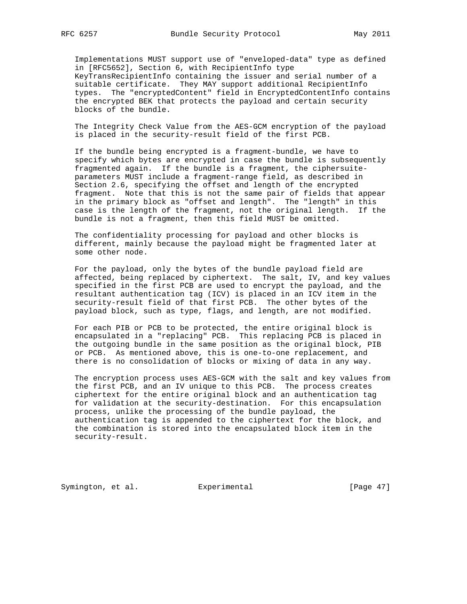Implementations MUST support use of "enveloped-data" type as defined in [RFC5652], Section 6, with RecipientInfo type KeyTransRecipientInfo containing the issuer and serial number of a suitable certificate. They MAY support additional RecipientInfo types. The "encryptedContent" field in EncryptedContentInfo contains the encrypted BEK that protects the payload and certain security blocks of the bundle.

 The Integrity Check Value from the AES-GCM encryption of the payload is placed in the security-result field of the first PCB.

 If the bundle being encrypted is a fragment-bundle, we have to specify which bytes are encrypted in case the bundle is subsequently fragmented again. If the bundle is a fragment, the ciphersuite parameters MUST include a fragment-range field, as described in Section 2.6, specifying the offset and length of the encrypted fragment. Note that this is not the same pair of fields that appear in the primary block as "offset and length". The "length" in this case is the length of the fragment, not the original length. If the bundle is not a fragment, then this field MUST be omitted.

 The confidentiality processing for payload and other blocks is different, mainly because the payload might be fragmented later at some other node.

 For the payload, only the bytes of the bundle payload field are affected, being replaced by ciphertext. The salt, IV, and key values specified in the first PCB are used to encrypt the payload, and the resultant authentication tag (ICV) is placed in an ICV item in the security-result field of that first PCB. The other bytes of the payload block, such as type, flags, and length, are not modified.

 For each PIB or PCB to be protected, the entire original block is encapsulated in a "replacing" PCB. This replacing PCB is placed in the outgoing bundle in the same position as the original block, PIB or PCB. As mentioned above, this is one-to-one replacement, and there is no consolidation of blocks or mixing of data in any way.

 The encryption process uses AES-GCM with the salt and key values from the first PCB, and an IV unique to this PCB. The process creates ciphertext for the entire original block and an authentication tag for validation at the security-destination. For this encapsulation process, unlike the processing of the bundle payload, the authentication tag is appended to the ciphertext for the block, and the combination is stored into the encapsulated block item in the security-result.

Symington, et al. Experimental [Page 47]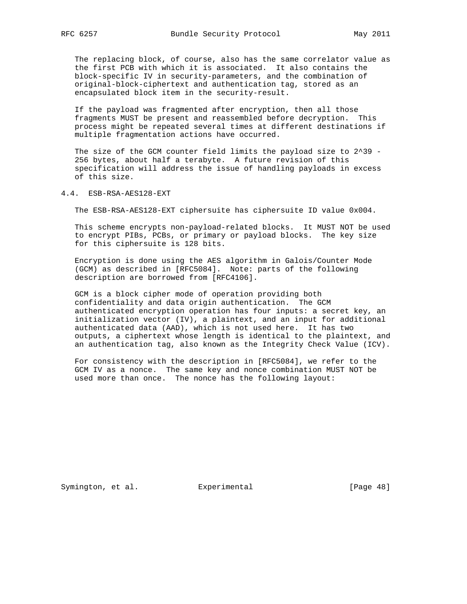The replacing block, of course, also has the same correlator value as the first PCB with which it is associated. It also contains the block-specific IV in security-parameters, and the combination of original-block-ciphertext and authentication tag, stored as an encapsulated block item in the security-result.

 If the payload was fragmented after encryption, then all those fragments MUST be present and reassembled before decryption. This process might be repeated several times at different destinations if multiple fragmentation actions have occurred.

The size of the GCM counter field limits the payload size to 2^39 - 256 bytes, about half a terabyte. A future revision of this specification will address the issue of handling payloads in excess of this size.

4.4. ESB-RSA-AES128-EXT

The ESB-RSA-AES128-EXT ciphersuite has ciphersuite ID value 0x004.

 This scheme encrypts non-payload-related blocks. It MUST NOT be used to encrypt PIBs, PCBs, or primary or payload blocks. The key size for this ciphersuite is 128 bits.

 Encryption is done using the AES algorithm in Galois/Counter Mode (GCM) as described in [RFC5084]. Note: parts of the following description are borrowed from [RFC4106].

 GCM is a block cipher mode of operation providing both confidentiality and data origin authentication. The GCM authenticated encryption operation has four inputs: a secret key, an initialization vector (IV), a plaintext, and an input for additional authenticated data (AAD), which is not used here. It has two outputs, a ciphertext whose length is identical to the plaintext, and an authentication tag, also known as the Integrity Check Value (ICV).

 For consistency with the description in [RFC5084], we refer to the GCM IV as a nonce. The same key and nonce combination MUST NOT be used more than once. The nonce has the following layout:

Symington, et al. Experimental [Page 48]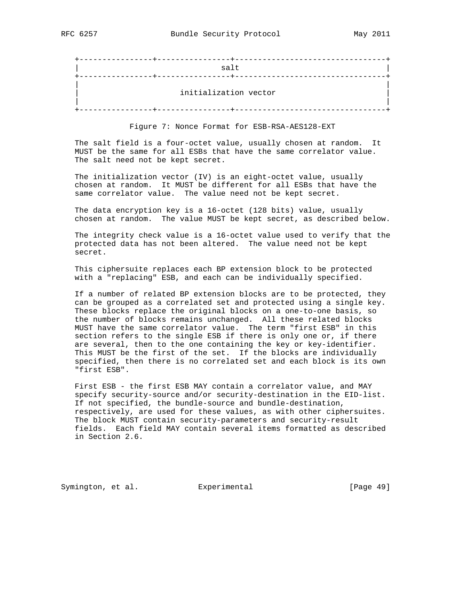| salt                  |  |
|-----------------------|--|
| initialization vector |  |

Figure 7: Nonce Format for ESB-RSA-AES128-EXT

 The salt field is a four-octet value, usually chosen at random. It MUST be the same for all ESBs that have the same correlator value. The salt need not be kept secret.

 The initialization vector (IV) is an eight-octet value, usually chosen at random. It MUST be different for all ESBs that have the same correlator value. The value need not be kept secret.

 The data encryption key is a 16-octet (128 bits) value, usually chosen at random. The value MUST be kept secret, as described below.

 The integrity check value is a 16-octet value used to verify that the protected data has not been altered. The value need not be kept secret.

 This ciphersuite replaces each BP extension block to be protected with a "replacing" ESB, and each can be individually specified.

 If a number of related BP extension blocks are to be protected, they can be grouped as a correlated set and protected using a single key. These blocks replace the original blocks on a one-to-one basis, so the number of blocks remains unchanged. All these related blocks MUST have the same correlator value. The term "first ESB" in this section refers to the single ESB if there is only one or, if there are several, then to the one containing the key or key-identifier. This MUST be the first of the set. If the blocks are individually specified, then there is no correlated set and each block is its own "first ESB".

 First ESB - the first ESB MAY contain a correlator value, and MAY specify security-source and/or security-destination in the EID-list. If not specified, the bundle-source and bundle-destination, respectively, are used for these values, as with other ciphersuites. The block MUST contain security-parameters and security-result fields. Each field MAY contain several items formatted as described in Section 2.6.

Symington, et al. Experimental [Page 49]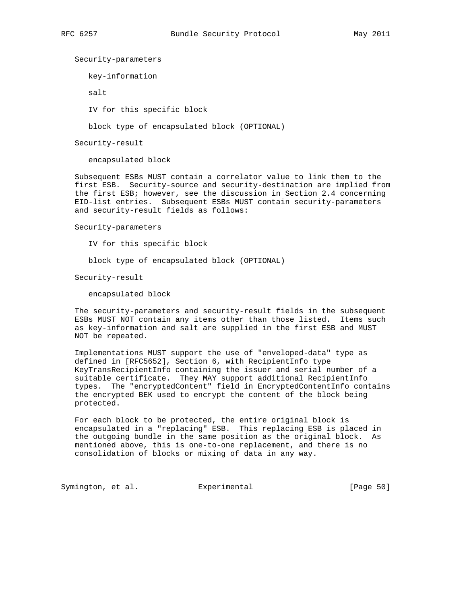Security-parameters

key-information

salt

IV for this specific block

block type of encapsulated block (OPTIONAL)

Security-result

encapsulated block

 Subsequent ESBs MUST contain a correlator value to link them to the first ESB. Security-source and security-destination are implied from the first ESB; however, see the discussion in Section 2.4 concerning EID-list entries. Subsequent ESBs MUST contain security-parameters and security-result fields as follows:

#### Security-parameters

IV for this specific block

block type of encapsulated block (OPTIONAL)

Security-result

encapsulated block

 The security-parameters and security-result fields in the subsequent ESBs MUST NOT contain any items other than those listed. Items such as key-information and salt are supplied in the first ESB and MUST NOT be repeated.

 Implementations MUST support the use of "enveloped-data" type as defined in [RFC5652], Section 6, with RecipientInfo type KeyTransRecipientInfo containing the issuer and serial number of a suitable certificate. They MAY support additional RecipientInfo types. The "encryptedContent" field in EncryptedContentInfo contains the encrypted BEK used to encrypt the content of the block being protected.

 For each block to be protected, the entire original block is encapsulated in a "replacing" ESB. This replacing ESB is placed in the outgoing bundle in the same position as the original block. As mentioned above, this is one-to-one replacement, and there is no consolidation of blocks or mixing of data in any way.

Symington, et al. Experimental [Page 50]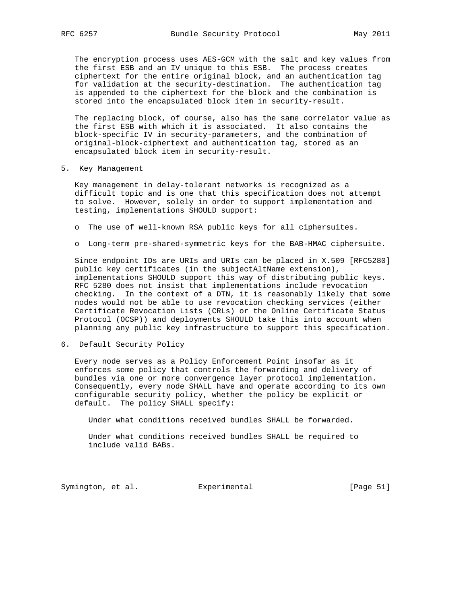The encryption process uses AES-GCM with the salt and key values from the first ESB and an IV unique to this ESB. The process creates ciphertext for the entire original block, and an authentication tag for validation at the security-destination. The authentication tag is appended to the ciphertext for the block and the combination is stored into the encapsulated block item in security-result.

 The replacing block, of course, also has the same correlator value as the first ESB with which it is associated. It also contains the block-specific IV in security-parameters, and the combination of original-block-ciphertext and authentication tag, stored as an encapsulated block item in security-result.

5. Key Management

 Key management in delay-tolerant networks is recognized as a difficult topic and is one that this specification does not attempt to solve. However, solely in order to support implementation and testing, implementations SHOULD support:

- o The use of well-known RSA public keys for all ciphersuites.
- o Long-term pre-shared-symmetric keys for the BAB-HMAC ciphersuite.

 Since endpoint IDs are URIs and URIs can be placed in X.509 [RFC5280] public key certificates (in the subjectAltName extension), implementations SHOULD support this way of distributing public keys. RFC 5280 does not insist that implementations include revocation checking. In the context of a DTN, it is reasonably likely that some nodes would not be able to use revocation checking services (either Certificate Revocation Lists (CRLs) or the Online Certificate Status Protocol (OCSP)) and deployments SHOULD take this into account when planning any public key infrastructure to support this specification.

6. Default Security Policy

 Every node serves as a Policy Enforcement Point insofar as it enforces some policy that controls the forwarding and delivery of bundles via one or more convergence layer protocol implementation. Consequently, every node SHALL have and operate according to its own configurable security policy, whether the policy be explicit or default. The policy SHALL specify:

Under what conditions received bundles SHALL be forwarded.

 Under what conditions received bundles SHALL be required to include valid BABs.

Symington, et al. Experimental [Page 51]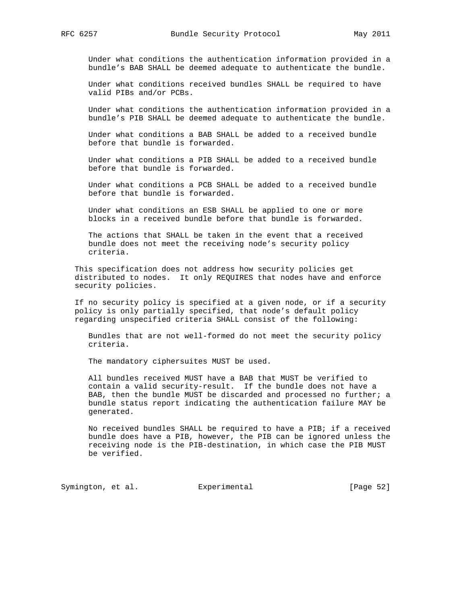Under what conditions the authentication information provided in a bundle's BAB SHALL be deemed adequate to authenticate the bundle.

 Under what conditions received bundles SHALL be required to have valid PIBs and/or PCBs.

 Under what conditions the authentication information provided in a bundle's PIB SHALL be deemed adequate to authenticate the bundle.

 Under what conditions a BAB SHALL be added to a received bundle before that bundle is forwarded.

 Under what conditions a PIB SHALL be added to a received bundle before that bundle is forwarded.

 Under what conditions a PCB SHALL be added to a received bundle before that bundle is forwarded.

 Under what conditions an ESB SHALL be applied to one or more blocks in a received bundle before that bundle is forwarded.

 The actions that SHALL be taken in the event that a received bundle does not meet the receiving node's security policy criteria.

 This specification does not address how security policies get distributed to nodes. It only REQUIRES that nodes have and enforce security policies.

 If no security policy is specified at a given node, or if a security policy is only partially specified, that node's default policy regarding unspecified criteria SHALL consist of the following:

 Bundles that are not well-formed do not meet the security policy criteria.

The mandatory ciphersuites MUST be used.

 All bundles received MUST have a BAB that MUST be verified to contain a valid security-result. If the bundle does not have a BAB, then the bundle MUST be discarded and processed no further; a bundle status report indicating the authentication failure MAY be generated.

 No received bundles SHALL be required to have a PIB; if a received bundle does have a PIB, however, the PIB can be ignored unless the receiving node is the PIB-destination, in which case the PIB MUST be verified.

Symington, et al. Experimental [Page 52]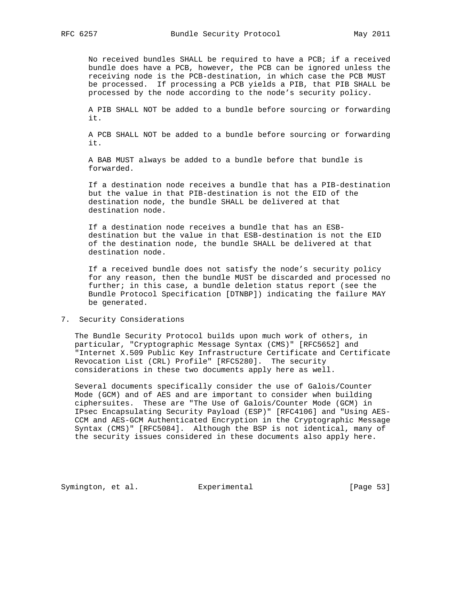No received bundles SHALL be required to have a PCB; if a received bundle does have a PCB, however, the PCB can be ignored unless the receiving node is the PCB-destination, in which case the PCB MUST be processed. If processing a PCB yields a PIB, that PIB SHALL be processed by the node according to the node's security policy.

 A PIB SHALL NOT be added to a bundle before sourcing or forwarding it.

 A PCB SHALL NOT be added to a bundle before sourcing or forwarding it.

 A BAB MUST always be added to a bundle before that bundle is forwarded.

 If a destination node receives a bundle that has a PIB-destination but the value in that PIB-destination is not the EID of the destination node, the bundle SHALL be delivered at that destination node.

 If a destination node receives a bundle that has an ESB destination but the value in that ESB-destination is not the EID of the destination node, the bundle SHALL be delivered at that destination node.

 If a received bundle does not satisfy the node's security policy for any reason, then the bundle MUST be discarded and processed no further; in this case, a bundle deletion status report (see the Bundle Protocol Specification [DTNBP]) indicating the failure MAY be generated.

7. Security Considerations

 The Bundle Security Protocol builds upon much work of others, in particular, "Cryptographic Message Syntax (CMS)" [RFC5652] and "Internet X.509 Public Key Infrastructure Certificate and Certificate Revocation List (CRL) Profile" [RFC5280]. The security considerations in these two documents apply here as well.

 Several documents specifically consider the use of Galois/Counter Mode (GCM) and of AES and are important to consider when building ciphersuites. These are "The Use of Galois/Counter Mode (GCM) in IPsec Encapsulating Security Payload (ESP)" [RFC4106] and "Using AES- CCM and AES-GCM Authenticated Encryption in the Cryptographic Message Syntax (CMS)" [RFC5084]. Although the BSP is not identical, many of the security issues considered in these documents also apply here.

Symington, et al. Experimental [Page 53]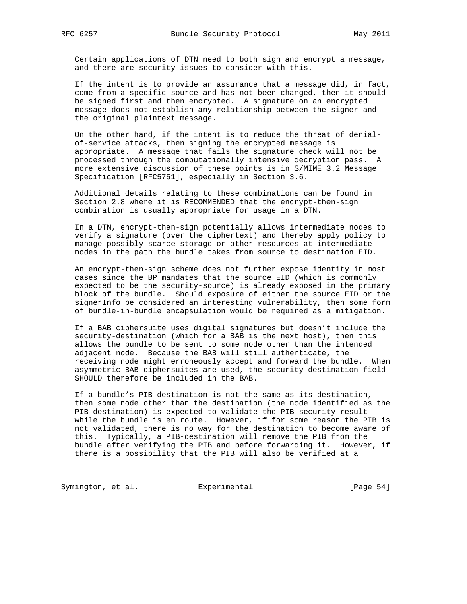Certain applications of DTN need to both sign and encrypt a message, and there are security issues to consider with this.

 If the intent is to provide an assurance that a message did, in fact, come from a specific source and has not been changed, then it should be signed first and then encrypted. A signature on an encrypted message does not establish any relationship between the signer and the original plaintext message.

 On the other hand, if the intent is to reduce the threat of denial of-service attacks, then signing the encrypted message is appropriate. A message that fails the signature check will not be processed through the computationally intensive decryption pass. A more extensive discussion of these points is in S/MIME 3.2 Message Specification [RFC5751], especially in Section 3.6.

 Additional details relating to these combinations can be found in Section 2.8 where it is RECOMMENDED that the encrypt-then-sign combination is usually appropriate for usage in a DTN.

 In a DTN, encrypt-then-sign potentially allows intermediate nodes to verify a signature (over the ciphertext) and thereby apply policy to manage possibly scarce storage or other resources at intermediate nodes in the path the bundle takes from source to destination EID.

 An encrypt-then-sign scheme does not further expose identity in most cases since the BP mandates that the source EID (which is commonly expected to be the security-source) is already exposed in the primary block of the bundle. Should exposure of either the source EID or the signerInfo be considered an interesting vulnerability, then some form of bundle-in-bundle encapsulation would be required as a mitigation.

 If a BAB ciphersuite uses digital signatures but doesn't include the security-destination (which for a BAB is the next host), then this allows the bundle to be sent to some node other than the intended adjacent node. Because the BAB will still authenticate, the receiving node might erroneously accept and forward the bundle. When asymmetric BAB ciphersuites are used, the security-destination field SHOULD therefore be included in the BAB.

 If a bundle's PIB-destination is not the same as its destination, then some node other than the destination (the node identified as the PIB-destination) is expected to validate the PIB security-result while the bundle is en route. However, if for some reason the PIB is not validated, there is no way for the destination to become aware of this. Typically, a PIB-destination will remove the PIB from the bundle after verifying the PIB and before forwarding it. However, if there is a possibility that the PIB will also be verified at a

Symington, et al. Experimental [Page 54]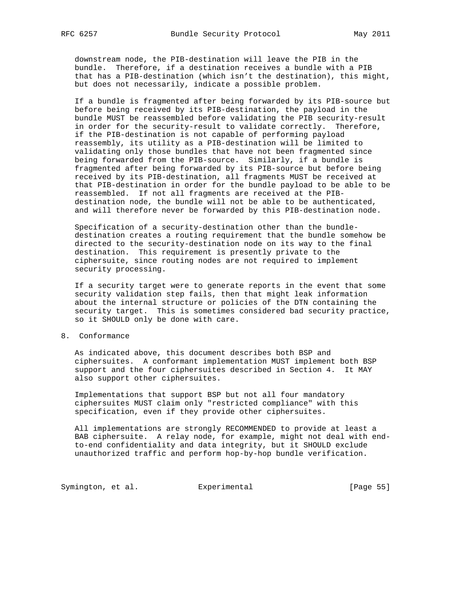downstream node, the PIB-destination will leave the PIB in the bundle. Therefore, if a destination receives a bundle with a PIB that has a PIB-destination (which isn't the destination), this might, but does not necessarily, indicate a possible problem.

 If a bundle is fragmented after being forwarded by its PIB-source but before being received by its PIB-destination, the payload in the bundle MUST be reassembled before validating the PIB security-result in order for the security-result to validate correctly. Therefore, if the PIB-destination is not capable of performing payload reassembly, its utility as a PIB-destination will be limited to validating only those bundles that have not been fragmented since being forwarded from the PIB-source. Similarly, if a bundle is fragmented after being forwarded by its PIB-source but before being received by its PIB-destination, all fragments MUST be received at that PIB-destination in order for the bundle payload to be able to be reassembled. If not all fragments are received at the PIB destination node, the bundle will not be able to be authenticated, and will therefore never be forwarded by this PIB-destination node.

 Specification of a security-destination other than the bundle destination creates a routing requirement that the bundle somehow be directed to the security-destination node on its way to the final destination. This requirement is presently private to the ciphersuite, since routing nodes are not required to implement security processing.

 If a security target were to generate reports in the event that some security validation step fails, then that might leak information about the internal structure or policies of the DTN containing the security target. This is sometimes considered bad security practice, so it SHOULD only be done with care.

8. Conformance

 As indicated above, this document describes both BSP and ciphersuites. A conformant implementation MUST implement both BSP support and the four ciphersuites described in Section 4. It MAY also support other ciphersuites.

 Implementations that support BSP but not all four mandatory ciphersuites MUST claim only "restricted compliance" with this specification, even if they provide other ciphersuites.

 All implementations are strongly RECOMMENDED to provide at least a BAB ciphersuite. A relay node, for example, might not deal with end to-end confidentiality and data integrity, but it SHOULD exclude unauthorized traffic and perform hop-by-hop bundle verification.

Symington, et al. Experimental [Page 55]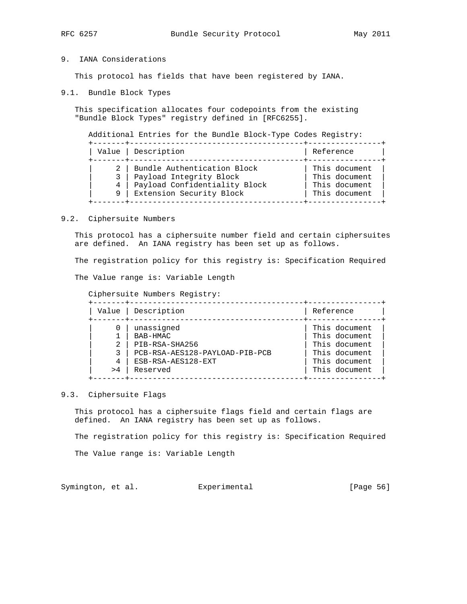## 9. IANA Considerations

This protocol has fields that have been registered by IANA.

9.1. Bundle Block Types

 This specification allocates four codepoints from the existing "Bundle Block Types" registry defined in [RFC6255].

|   | Value   Description           | Reference     |
|---|-------------------------------|---------------|
|   | Bundle Authentication Block   | This document |
|   | Payload Integrity Block       | This document |
| 4 | Payload Confidentiality Block | This document |
| 9 | Extension Security Block      | This document |

#### 9.2. Ciphersuite Numbers

 This protocol has a ciphersuite number field and certain ciphersuites are defined. An IANA registry has been set up as follows.

The registration policy for this registry is: Specification Required

The Value range is: Variable Length

Ciphersuite Numbers Registry:

| Value | Description                    | Reference     |
|-------|--------------------------------|---------------|
|       | unassigned                     | This document |
|       | BAB-HMAC                       | This document |
|       | PIB-RSA-SHA256                 | This document |
|       | PCB-RSA-AES128-PAYLOAD-PIB-PCB | This document |
| 4     | ESB-RSA-AES128-EXT             | This document |
| >4    | Reserved                       | This document |

### 9.3. Ciphersuite Flags

 This protocol has a ciphersuite flags field and certain flags are defined. An IANA registry has been set up as follows.

The registration policy for this registry is: Specification Required

The Value range is: Variable Length

Symington, et al. Experimental [Page 56]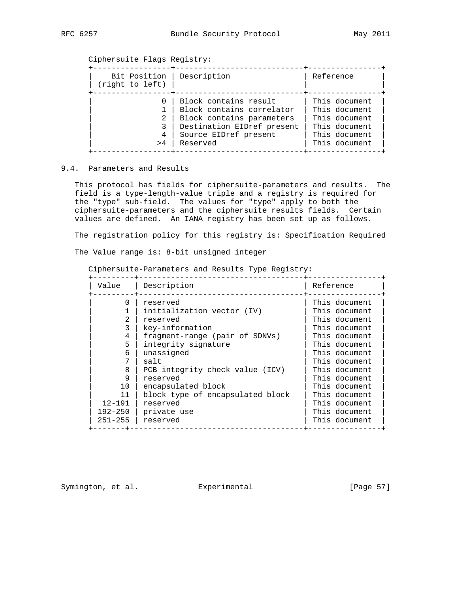Ciphersuite Flags Registry:

| Bit Position<br>(right to left) | Description                                                                                                                                        | Reference                                                                                          |
|---------------------------------|----------------------------------------------------------------------------------------------------------------------------------------------------|----------------------------------------------------------------------------------------------------|
| 2<br>3<br>4<br>>4               | Block contains result<br>Block contains correlator<br>Block contains parameters<br>Destination EIDref present<br>Source EIDref present<br>Reserved | This document<br>This document<br>This document<br>This document<br>This document<br>This document |

## 9.4. Parameters and Results

 This protocol has fields for ciphersuite-parameters and results. The field is a type-length-value triple and a registry is required for the "type" sub-field. The values for "type" apply to both the ciphersuite-parameters and the ciphersuite results fields. Certain values are defined. An IANA registry has been set up as follows.

The registration policy for this registry is: Specification Required

The Value range is: 8-bit unsigned integer

Ciphersuite-Parameters and Results Type Registry:

| Value        | Description                      | Reference     |
|--------------|----------------------------------|---------------|
| <sup>0</sup> | reserved                         | This document |
|              | initialization vector (IV)       | This document |
|              | reserved                         | This document |
| 3            | key-information                  | This document |
| 4            | fragment-range (pair of SDNVs)   | This document |
| 5            | integrity signature              | This document |
| 6            | unassigned                       | This document |
|              | salt                             | This document |
| 8            | PCB integrity check value (ICV)  | This document |
| 9            | reserved                         | This document |
| 10           | encapsulated block               | This document |
| 11           | block type of encapsulated block | This document |
| $12 - 191$   | reserved                         | This document |
| 192-250      | private use                      | This document |
| $251 - 255$  | reserved                         | This document |

Symington, et al. Experimental [Page 57]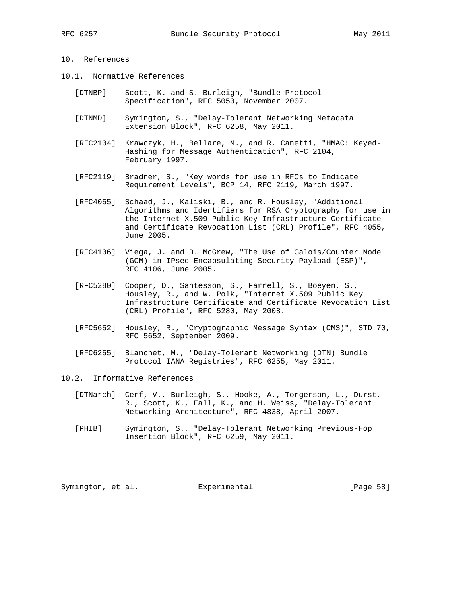## 10. References

- 10.1. Normative References
	- [DTNBP] Scott, K. and S. Burleigh, "Bundle Protocol Specification", RFC 5050, November 2007.
	- [DTNMD] Symington, S., "Delay-Tolerant Networking Metadata Extension Block", RFC 6258, May 2011.
	- [RFC2104] Krawczyk, H., Bellare, M., and R. Canetti, "HMAC: Keyed- Hashing for Message Authentication", RFC 2104, February 1997.
	- [RFC2119] Bradner, S., "Key words for use in RFCs to Indicate Requirement Levels", BCP 14, RFC 2119, March 1997.
	- [RFC4055] Schaad, J., Kaliski, B., and R. Housley, "Additional Algorithms and Identifiers for RSA Cryptography for use in the Internet X.509 Public Key Infrastructure Certificate and Certificate Revocation List (CRL) Profile", RFC 4055, June 2005.
	- [RFC4106] Viega, J. and D. McGrew, "The Use of Galois/Counter Mode (GCM) in IPsec Encapsulating Security Payload (ESP)", RFC 4106, June 2005.
	- [RFC5280] Cooper, D., Santesson, S., Farrell, S., Boeyen, S., Housley, R., and W. Polk, "Internet X.509 Public Key Infrastructure Certificate and Certificate Revocation List (CRL) Profile", RFC 5280, May 2008.
	- [RFC5652] Housley, R., "Cryptographic Message Syntax (CMS)", STD 70, RFC 5652, September 2009.
	- [RFC6255] Blanchet, M., "Delay-Tolerant Networking (DTN) Bundle Protocol IANA Registries", RFC 6255, May 2011.

### 10.2. Informative References

- [DTNarch] Cerf, V., Burleigh, S., Hooke, A., Torgerson, L., Durst, R., Scott, K., Fall, K., and H. Weiss, "Delay-Tolerant Networking Architecture", RFC 4838, April 2007.
- [PHIB] Symington, S., "Delay-Tolerant Networking Previous-Hop Insertion Block", RFC 6259, May 2011.

Symington, et al. Experimental [Page 58]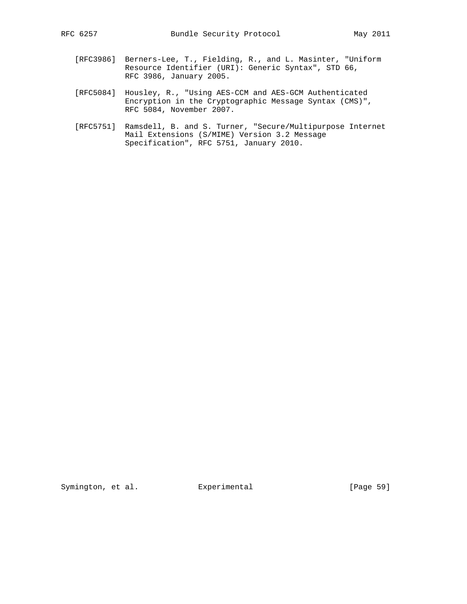- [RFC3986] Berners-Lee, T., Fielding, R., and L. Masinter, "Uniform Resource Identifier (URI): Generic Syntax", STD 66, RFC 3986, January 2005.
- [RFC5084] Housley, R., "Using AES-CCM and AES-GCM Authenticated Encryption in the Cryptographic Message Syntax (CMS)", RFC 5084, November 2007.
- [RFC5751] Ramsdell, B. and S. Turner, "Secure/Multipurpose Internet Mail Extensions (S/MIME) Version 3.2 Message Specification", RFC 5751, January 2010.